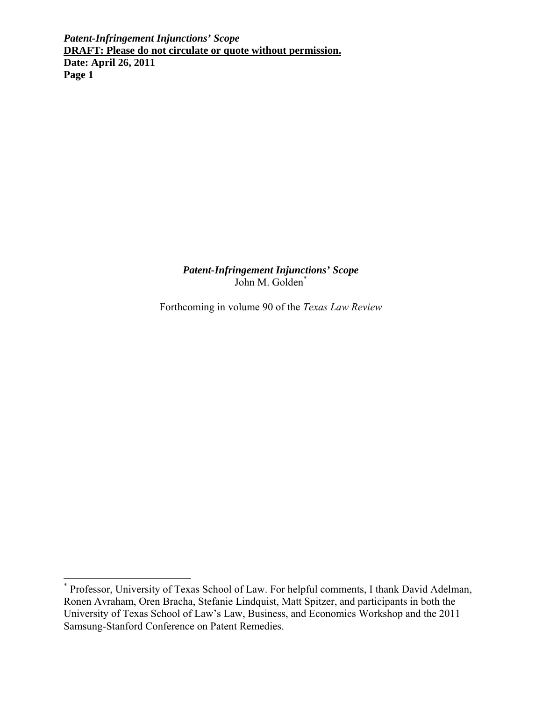> *Patent-Infringement Injunctions' Scope* John M. Golden\*

Forthcoming in volume 90 of the *Texas Law Review*

 \* Professor, University of Texas School of Law. For helpful comments, I thank David Adelman, Ronen Avraham, Oren Bracha, Stefanie Lindquist, Matt Spitzer, and participants in both the University of Texas School of Law's Law, Business, and Economics Workshop and the 2011 Samsung-Stanford Conference on Patent Remedies.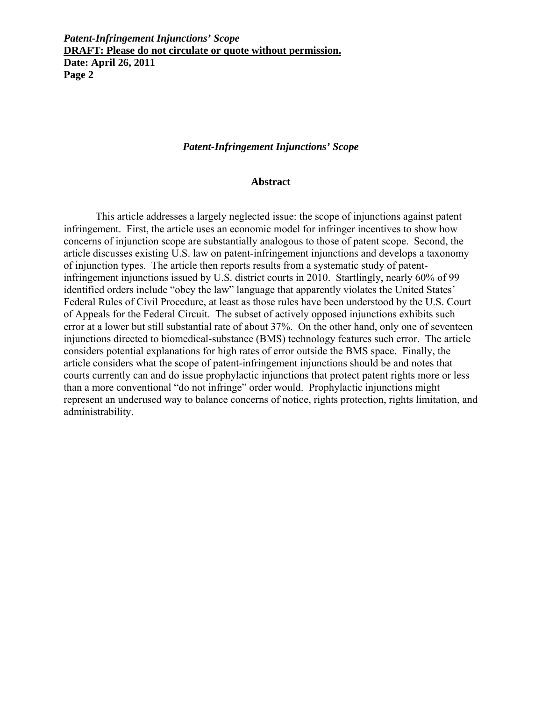#### *Patent-Infringement Injunctions' Scope*

#### **Abstract**

This article addresses a largely neglected issue: the scope of injunctions against patent infringement. First, the article uses an economic model for infringer incentives to show how concerns of injunction scope are substantially analogous to those of patent scope. Second, the article discusses existing U.S. law on patent-infringement injunctions and develops a taxonomy of injunction types. The article then reports results from a systematic study of patentinfringement injunctions issued by U.S. district courts in 2010. Startlingly, nearly 60% of 99 identified orders include "obey the law" language that apparently violates the United States' Federal Rules of Civil Procedure, at least as those rules have been understood by the U.S. Court of Appeals for the Federal Circuit. The subset of actively opposed injunctions exhibits such error at a lower but still substantial rate of about 37%. On the other hand, only one of seventeen injunctions directed to biomedical-substance (BMS) technology features such error. The article considers potential explanations for high rates of error outside the BMS space. Finally, the article considers what the scope of patent-infringement injunctions should be and notes that courts currently can and do issue prophylactic injunctions that protect patent rights more or less than a more conventional "do not infringe" order would. Prophylactic injunctions might represent an underused way to balance concerns of notice, rights protection, rights limitation, and administrability.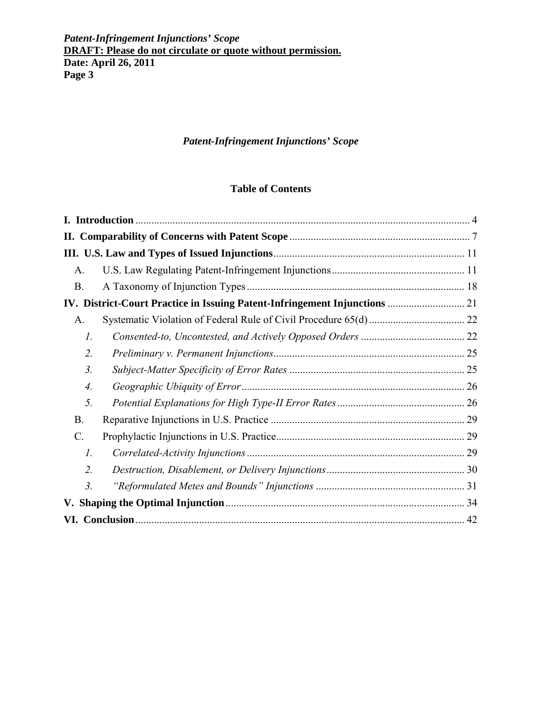# *Patent-Infringement Injunctions' Scope*

# **Table of Contents**

| $A_{\cdot}$      |                                                                            |  |
|------------------|----------------------------------------------------------------------------|--|
| <b>B.</b>        |                                                                            |  |
|                  | IV. District-Court Practice in Issuing Patent-Infringement Injunctions  21 |  |
| A.               |                                                                            |  |
| 1.               |                                                                            |  |
| 2.               |                                                                            |  |
| 3.               |                                                                            |  |
| 4.               |                                                                            |  |
| 5.               |                                                                            |  |
| <b>B.</b>        |                                                                            |  |
| C.               |                                                                            |  |
| $\mathcal{I}$ .  |                                                                            |  |
| 2.               |                                                                            |  |
| $\mathfrak{Z}$ . |                                                                            |  |
|                  |                                                                            |  |
|                  |                                                                            |  |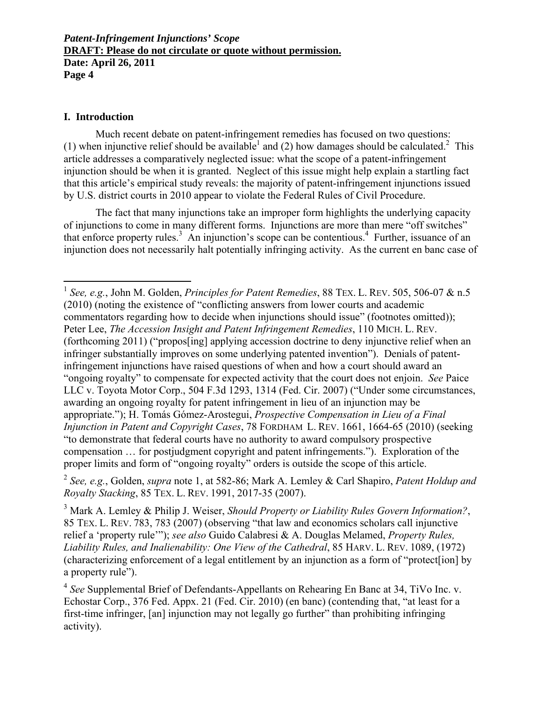### **I. Introduction**

 $\overline{a}$ 

Much recent debate on patent-infringement remedies has focused on two questions: (1) when injunctive relief should be available<sup>1</sup> and (2) how damages should be calculated.<sup>2</sup> This article addresses a comparatively neglected issue: what the scope of a patent-infringement injunction should be when it is granted. Neglect of this issue might help explain a startling fact that this article's empirical study reveals: the majority of patent-infringement injunctions issued by U.S. district courts in 2010 appear to violate the Federal Rules of Civil Procedure.

The fact that many injunctions take an improper form highlights the underlying capacity of injunctions to come in many different forms. Injunctions are more than mere "off switches" that enforce property rules.<sup>3</sup> An injunction's scope can be contentious.<sup>4</sup> Further, issuance of an injunction does not necessarily halt potentially infringing activity. As the current en banc case of

<sup>2</sup> *See, e.g.*, Golden, *supra* note 1, at 582-86; Mark A. Lemley & Carl Shapiro, *Patent Holdup and Royalty Stacking*, 85 TEX. L. REV. 1991, 2017-35 (2007).

<sup>1</sup> *See, e.g.*, John M. Golden, *Principles for Patent Remedies*, 88 TEX. L. REV. 505, 506-07 & n.5 (2010) (noting the existence of "conflicting answers from lower courts and academic commentators regarding how to decide when injunctions should issue" (footnotes omitted)); Peter Lee, *The Accession Insight and Patent Infringement Remedies*, 110 MICH. L. REV. (forthcoming 2011) ("propos[ing] applying accession doctrine to deny injunctive relief when an infringer substantially improves on some underlying patented invention"). Denials of patentinfringement injunctions have raised questions of when and how a court should award an "ongoing royalty" to compensate for expected activity that the court does not enjoin. *See* Paice LLC v. Toyota Motor Corp., 504 F.3d 1293, 1314 (Fed. Cir. 2007) ("Under some circumstances, awarding an ongoing royalty for patent infringement in lieu of an injunction may be appropriate."); H. Tomás Gómez-Arostegui, *Prospective Compensation in Lieu of a Final Injunction in Patent and Copyright Cases*, 78 FORDHAM L. REV. 1661, 1664-65 (2010) (seeking "to demonstrate that federal courts have no authority to award compulsory prospective compensation … for postjudgment copyright and patent infringements."). Exploration of the proper limits and form of "ongoing royalty" orders is outside the scope of this article.

<sup>3</sup> Mark A. Lemley & Philip J. Weiser, *Should Property or Liability Rules Govern Information?*, 85 TEX. L. REV. 783, 783 (2007) (observing "that law and economics scholars call injunctive relief a 'property rule'"); *see also* Guido Calabresi & A. Douglas Melamed, *Property Rules, Liability Rules, and Inalienability: One View of the Cathedral*, 85 HARV. L. REV. 1089, (1972) (characterizing enforcement of a legal entitlement by an injunction as a form of "protect[ion] by a property rule").

<sup>4</sup> *See* Supplemental Brief of Defendants-Appellants on Rehearing En Banc at 34, TiVo Inc. v. Echostar Corp., 376 Fed. Appx. 21 (Fed. Cir. 2010) (en banc) (contending that, "at least for a first-time infringer, [an] injunction may not legally go further" than prohibiting infringing activity).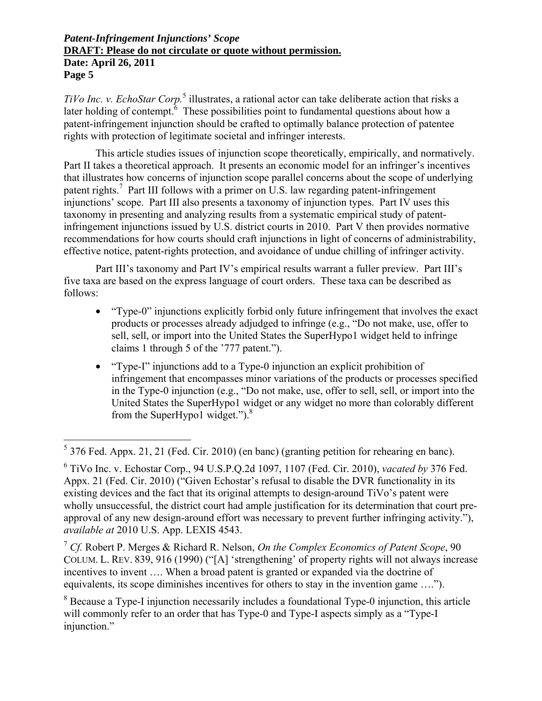TiVo Inc. v. EchoStar Corp.<sup>5</sup> illustrates, a rational actor can take deliberate action that risks a later holding of contempt.  $\delta$  These possibilities point to fundamental questions about how a patent-infringement injunction should be crafted to optimally balance protection of patentee rights with protection of legitimate societal and infringer interests.

This article studies issues of injunction scope theoretically, empirically, and normatively. Part II takes a theoretical approach. It presents an economic model for an infringer's incentives that illustrates how concerns of injunction scope parallel concerns about the scope of underlying patent rights.<sup>7</sup> Part III follows with a primer on U.S. law regarding patent-infringement injunctions' scope. Part III also presents a taxonomy of injunction types. Part IV uses this taxonomy in presenting and analyzing results from a systematic empirical study of patentinfringement injunctions issued by U.S. district courts in 2010. Part V then provides normative recommendations for how courts should craft injunctions in light of concerns of administrability, effective notice, patent-rights protection, and avoidance of undue chilling of infringer activity.

Part III's taxonomy and Part IV's empirical results warrant a fuller preview. Part III's five taxa are based on the express language of court orders. These taxa can be described as follows:

- "Type-0" injunctions explicitly forbid only future infringement that involves the exact products or processes already adjudged to infringe (e.g., "Do not make, use, offer to sell, sell, or import into the United States the SuperHypo1 widget held to infringe claims 1 through 5 of the '777 patent.").
- "Type-I" injunctions add to a Type-0 injunction an explicit prohibition of infringement that encompasses minor variations of the products or processes specified in the Type-0 injunction (e.g., "Do not make, use, offer to sell, sell, or import into the United States the SuperHypo1 widget or any widget no more than colorably different from the SuperHypo1 widget."). $8$

 5 376 Fed. Appx. 21, 21 (Fed. Cir. 2010) (en banc) (granting petition for rehearing en banc).

<sup>6</sup> TiVo Inc. v. Echostar Corp., 94 U.S.P.Q.2d 1097, 1107 (Fed. Cir. 2010), *vacated by* 376 Fed. Appx. 21 (Fed. Cir. 2010) ("Given Echostar's refusal to disable the DVR functionality in its existing devices and the fact that its original attempts to design-around TiVo's patent were wholly unsuccessful, the district court had ample justification for its determination that court preapproval of any new design-around effort was necessary to prevent further infringing activity."), *available at* 2010 U.S. App. LEXIS 4543.

<sup>7</sup> *Cf.* Robert P. Merges & Richard R. Nelson, *On the Complex Economics of Patent Scope*, 90 COLUM. L. REV. 839, 916 (1990) ("[A] 'strengthening' of property rights will not always increase incentives to invent …. When a broad patent is granted or expanded via the doctrine of equivalents, its scope diminishes incentives for others to stay in the invention game ….").

<sup>&</sup>lt;sup>8</sup> Because a Type-I injunction necessarily includes a foundational Type-0 injunction, this article will commonly refer to an order that has Type-0 and Type-I aspects simply as a "Type-I injunction."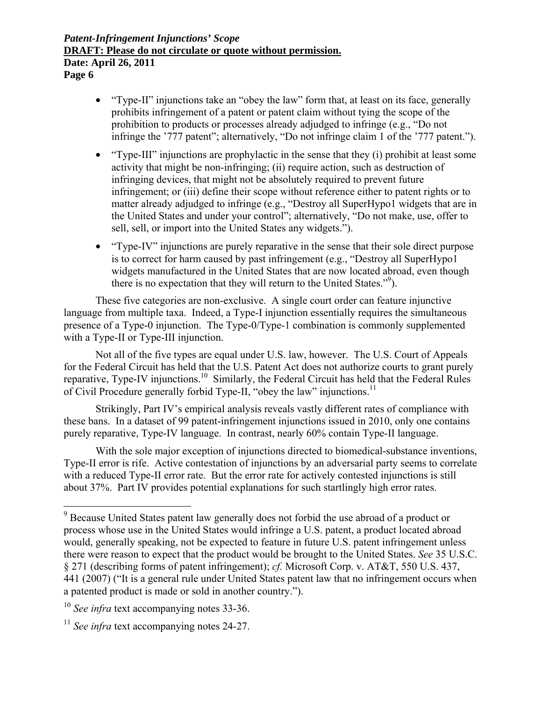- "Type-II" injunctions take an "obey the law" form that, at least on its face, generally prohibits infringement of a patent or patent claim without tying the scope of the prohibition to products or processes already adjudged to infringe (e.g., "Do not infringe the '777 patent"; alternatively, "Do not infringe claim 1 of the '777 patent.").
- "Type-III" injunctions are prophylactic in the sense that they (i) prohibit at least some activity that might be non-infringing; (ii) require action, such as destruction of infringing devices, that might not be absolutely required to prevent future infringement; or (iii) define their scope without reference either to patent rights or to matter already adjudged to infringe (e.g., "Destroy all SuperHypo1 widgets that are in the United States and under your control"; alternatively, "Do not make, use, offer to sell, sell, or import into the United States any widgets.").
- "Type-IV" injunctions are purely reparative in the sense that their sole direct purpose is to correct for harm caused by past infringement (e.g., "Destroy all SuperHypo1 widgets manufactured in the United States that are now located abroad, even though there is no expectation that they will return to the United States."9 ).

These five categories are non-exclusive. A single court order can feature injunctive language from multiple taxa. Indeed, a Type-I injunction essentially requires the simultaneous presence of a Type-0 injunction. The Type-0/Type-1 combination is commonly supplemented with a Type-II or Type-III injunction.

Not all of the five types are equal under U.S. law, however. The U.S. Court of Appeals for the Federal Circuit has held that the U.S. Patent Act does not authorize courts to grant purely reparative, Type-IV injunctions.<sup>10</sup> Similarly, the Federal Circuit has held that the Federal Rules of Civil Procedure generally forbid Type-II, "obey the law" injunctions.<sup>11</sup>

Strikingly, Part IV's empirical analysis reveals vastly different rates of compliance with these bans. In a dataset of 99 patent-infringement injunctions issued in 2010, only one contains purely reparative, Type-IV language. In contrast, nearly 60% contain Type-II language.

With the sole major exception of injunctions directed to biomedical-substance inventions, Type-II error is rife. Active contestation of injunctions by an adversarial party seems to correlate with a reduced Type-II error rate. But the error rate for actively contested injunctions is still about 37%. Part IV provides potential explanations for such startlingly high error rates.

<sup>&</sup>lt;sup>9</sup> Because United States patent law generally does not forbid the use abroad of a product or process whose use in the United States would infringe a U.S. patent, a product located abroad would, generally speaking, not be expected to feature in future U.S. patent infringement unless there were reason to expect that the product would be brought to the United States. *See* 35 U.S.C. § 271 (describing forms of patent infringement); *cf.* Microsoft Corp. v. AT&T, 550 U.S. 437, 441 (2007) ("It is a general rule under United States patent law that no infringement occurs when a patented product is made or sold in another country.").

<sup>&</sup>lt;sup>10</sup> See infra text accompanying notes 33-36.

<sup>&</sup>lt;sup>11</sup> *See infra* text accompanying notes 24-27.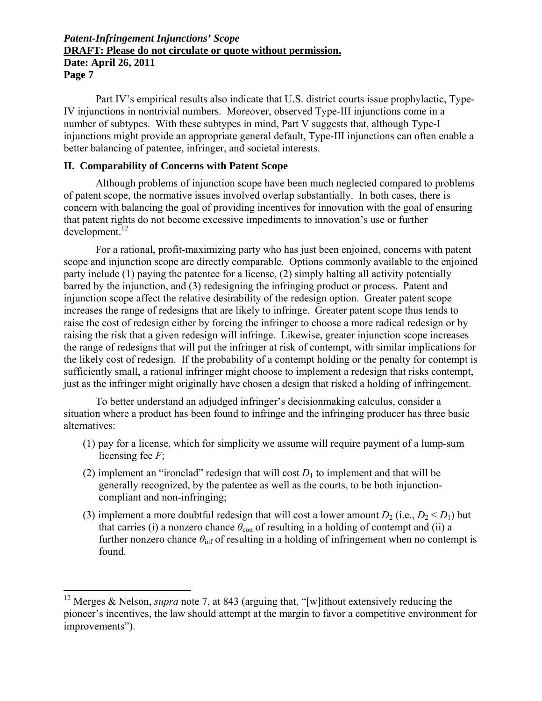Part IV's empirical results also indicate that U.S. district courts issue prophylactic, Type-IV injunctions in nontrivial numbers. Moreover, observed Type-III injunctions come in a number of subtypes. With these subtypes in mind, Part V suggests that, although Type-I injunctions might provide an appropriate general default, Type-III injunctions can often enable a better balancing of patentee, infringer, and societal interests.

### **II. Comparability of Concerns with Patent Scope**

 $\overline{a}$ 

Although problems of injunction scope have been much neglected compared to problems of patent scope, the normative issues involved overlap substantially. In both cases, there is concern with balancing the goal of providing incentives for innovation with the goal of ensuring that patent rights do not become excessive impediments to innovation's use or further  $d$ evelopment.<sup>12</sup>

For a rational, profit-maximizing party who has just been enjoined, concerns with patent scope and injunction scope are directly comparable. Options commonly available to the enjoined party include (1) paying the patentee for a license, (2) simply halting all activity potentially barred by the injunction, and (3) redesigning the infringing product or process. Patent and injunction scope affect the relative desirability of the redesign option. Greater patent scope increases the range of redesigns that are likely to infringe. Greater patent scope thus tends to raise the cost of redesign either by forcing the infringer to choose a more radical redesign or by raising the risk that a given redesign will infringe. Likewise, greater injunction scope increases the range of redesigns that will put the infringer at risk of contempt, with similar implications for the likely cost of redesign. If the probability of a contempt holding or the penalty for contempt is sufficiently small, a rational infringer might choose to implement a redesign that risks contempt, just as the infringer might originally have chosen a design that risked a holding of infringement.

To better understand an adjudged infringer's decisionmaking calculus, consider a situation where a product has been found to infringe and the infringing producer has three basic alternatives:

- (1) pay for a license, which for simplicity we assume will require payment of a lump-sum licensing fee *F*;
- (2) implement an "ironclad" redesign that will cost  $D_1$  to implement and that will be generally recognized, by the patentee as well as the courts, to be both injunctioncompliant and non-infringing;
- (3) implement a more doubtful redesign that will cost a lower amount  $D_2$  (i.e.,  $D_2 < D_1$ ) but that carries (i) a nonzero chance  $\theta_{\rm con}$  of resulting in a holding of contempt and (ii) a further nonzero chance  $\theta_{\text{inf}}$  of resulting in a holding of infringement when no contempt is found.

<sup>12</sup> Merges & Nelson, *supra* note 7, at 843 (arguing that, "[w]ithout extensively reducing the pioneer's incentives, the law should attempt at the margin to favor a competitive environment for improvements").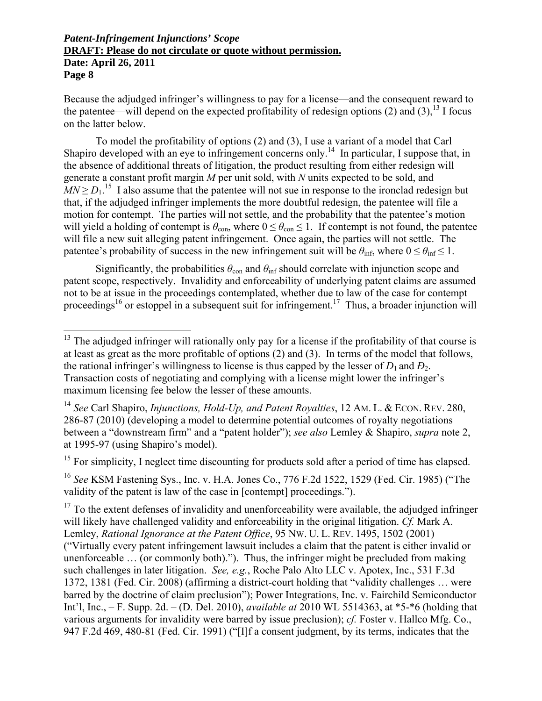$\overline{a}$ 

Because the adjudged infringer's willingness to pay for a license—and the consequent reward to the patentee—will depend on the expected profitability of redesign options  $(2)$  and  $(3)$ ,<sup>13</sup> I focus on the latter below.

To model the profitability of options (2) and (3), I use a variant of a model that Carl Shapiro developed with an eye to infringement concerns only.<sup>14</sup> In particular, I suppose that, in the absence of additional threats of litigation, the product resulting from either redesign will generate a constant profit margin *M* per unit sold, with *N* units expected to be sold, and  $MN \ge D_1$ <sup>15</sup> I also assume that the patentee will not sue in response to the ironclad redesign but that, if the adjudged infringer implements the more doubtful redesign, the patentee will file a motion for contempt. The parties will not settle, and the probability that the patentee's motion will yield a holding of contempt is  $\theta_{\text{con}}$ , where  $0 \leq \theta_{\text{con}} \leq 1$ . If contempt is not found, the patentee will file a new suit alleging patent infringement. Once again, the parties will not settle. The patentee's probability of success in the new infringement suit will be  $\theta_{\text{inf}}$ , where  $0 \leq \theta_{\text{inf}} \leq 1$ .

Significantly, the probabilities  $\theta_{\rm con}$  and  $\theta_{\rm inf}$  should correlate with injunction scope and patent scope, respectively. Invalidity and enforceability of underlying patent claims are assumed not to be at issue in the proceedings contemplated, whether due to law of the case for contempt proceedings<sup>16</sup> or estoppel in a subsequent suit for infringement.<sup>17</sup> Thus, a broader injunction will

<sup>15</sup> For simplicity, I neglect time discounting for products sold after a period of time has elapsed.

<sup>16</sup> *See* KSM Fastening Sys., Inc. v. H.A. Jones Co., 776 F.2d 1522, 1529 (Fed. Cir. 1985) ("The validity of the patent is law of the case in [contempt] proceedings.").

 $17$  To the extent defenses of invalidity and unenforceability were available, the adjudged infringer will likely have challenged validity and enforceability in the original litigation. *Cf.* Mark A. Lemley, *Rational Ignorance at the Patent Office*, 95 NW. U. L. REV. 1495, 1502 (2001) ("Virtually every patent infringement lawsuit includes a claim that the patent is either invalid or unenforceable … (or commonly both)."). Thus, the infringer might be precluded from making such challenges in later litigation. *See, e.g.*, Roche Palo Alto LLC v. Apotex, Inc., 531 F.3d 1372, 1381 (Fed. Cir. 2008) (affirming a district-court holding that "validity challenges … were barred by the doctrine of claim preclusion"); Power Integrations, Inc. v. Fairchild Semiconductor Int'l, Inc., – F. Supp. 2d. – (D. Del. 2010), *available at* 2010 WL 5514363, at \*5-\*6 (holding that various arguments for invalidity were barred by issue preclusion); *cf.* Foster v. Hallco Mfg. Co., 947 F.2d 469, 480-81 (Fed. Cir. 1991) ("[I]f a consent judgment, by its terms, indicates that the

 $13$  The adjudged infringer will rationally only pay for a license if the profitability of that course is at least as great as the more profitable of options (2) and (3). In terms of the model that follows, the rational infringer's willingness to license is thus capped by the lesser of  $D_1$  and  $D_2$ . Transaction costs of negotiating and complying with a license might lower the infringer's maximum licensing fee below the lesser of these amounts.

<sup>14</sup> *See* Carl Shapiro, *Injunctions, Hold-Up, and Patent Royalties*, 12 AM. L. & ECON. REV. 280, 286-87 (2010) (developing a model to determine potential outcomes of royalty negotiations between a "downstream firm" and a "patent holder"); *see also* Lemley & Shapiro, *supra* note 2, at 1995-97 (using Shapiro's model).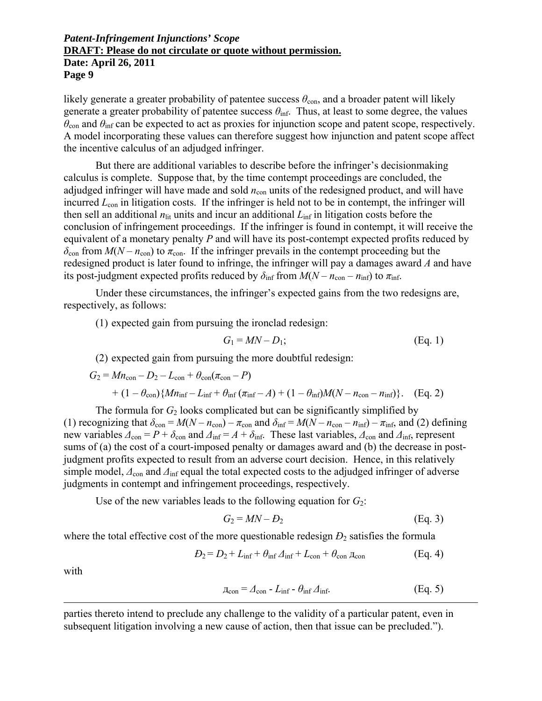likely generate a greater probability of patentee success  $\theta_{\text{con}}$ , and a broader patent will likely generate a greater probability of patentee success  $\theta_{\text{inf}}$ . Thus, at least to some degree, the values  $\theta_{\rm con}$  and  $\theta_{\rm inf}$  can be expected to act as proxies for injunction scope and patent scope, respectively. A model incorporating these values can therefore suggest how injunction and patent scope affect the incentive calculus of an adjudged infringer.

But there are additional variables to describe before the infringer's decisionmaking calculus is complete. Suppose that, by the time contempt proceedings are concluded, the adjudged infringer will have made and sold  $n_{\rm con}$  units of the redesigned product, and will have incurred *L*<sub>con</sub> in litigation costs. If the infringer is held not to be in contempt, the infringer will then sell an additional  $n_{\text{lit}}$  units and incur an additional  $L_{\text{inf}}$  in litigation costs before the conclusion of infringement proceedings. If the infringer is found in contempt, it will receive the equivalent of a monetary penalty *P* and will have its post-contempt expected profits reduced by  $\delta_{\rm con}$  from  $M(N - n_{\rm con})$  to  $\pi_{\rm con}$ . If the infringer prevails in the contempt proceeding but the redesigned product is later found to infringe, the infringer will pay a damages award *A* and have its post-judgment expected profits reduced by  $\delta_{\text{inf}}$  from  $M(N - n_{\text{con}} - n_{\text{inf}})$  to  $\pi_{\text{inf}}$ .

Under these circumstances, the infringer's expected gains from the two redesigns are, respectively, as follows:

(1) expected gain from pursuing the ironclad redesign:

$$
G_1 = MN - D_1; \tag{Eq. 1}
$$

(2) expected gain from pursuing the more doubtful redesign:

$$
G_2 = Mn_{con} - D_2 - L_{con} + \theta_{con}(\pi_{con} - P)
$$
  
+  $(1 - \theta_{con})\{Mn_{inf} - L_{inf} + \theta_{inf}(\pi_{inf} - A) + (1 - \theta_{inf})M(N - n_{con} - n_{inf})\}$ . (Eq. 2)

The formula for  $G_2$  looks complicated but can be significantly simplified by (1) recognizing that  $\delta_{\text{con}} = M(N - n_{\text{con}}) - \pi_{\text{con}}$  and  $\delta_{\text{inf}} = M(N - n_{\text{con}} - n_{\text{inf}}) - \pi_{\text{inf}}$ , and (2) defining new variables  $\Delta_{\text{con}} = P + \delta_{\text{con}}$  and  $\Delta_{\text{inf}} = A + \delta_{\text{inf}}$ . These last variables,  $\Delta_{\text{con}}$  and  $\Delta_{\text{inf}}$ , represent sums of (a) the cost of a court-imposed penalty or damages award and (b) the decrease in postjudgment profits expected to result from an adverse court decision. Hence, in this relatively simple model,  $\Delta$ <sub>con</sub> and  $\Delta$ <sub>inf</sub> equal the total expected costs to the adjudged infringer of adverse judgments in contempt and infringement proceedings, respectively.

Use of the new variables leads to the following equation for  $G_2$ :

$$
G_2 = MN - D_2 \tag{Eq. 3}
$$

where the total effective cost of the more questionable redesign  $D_2$  satisfies the formula

$$
D_2 = D_2 + L_{\text{inf}} + \theta_{\text{inf}} \Delta_{\text{inf}} + L_{\text{con}} + \theta_{\text{con}} \text{A}_{\text{con}}
$$
(Eq. 4)

with

 $\overline{a}$ 

$$
\mu_{\text{con}} = \Delta_{\text{con}} - L_{\text{inf}} - \theta_{\text{inf}} \Delta_{\text{inf}}.\tag{Eq. 5}
$$

parties thereto intend to preclude any challenge to the validity of a particular patent, even in subsequent litigation involving a new cause of action, then that issue can be precluded.").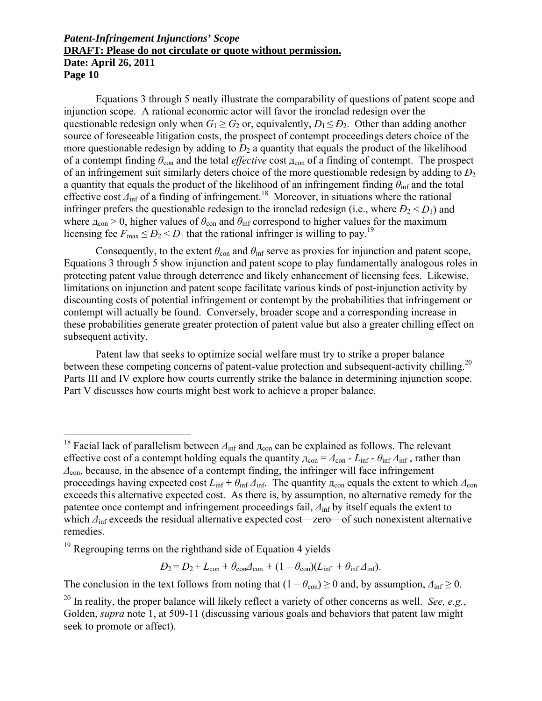Equations 3 through 5 neatly illustrate the comparability of questions of patent scope and injunction scope. A rational economic actor will favor the ironclad redesign over the questionable redesign only when  $G_1 \ge G_2$  or, equivalently,  $D_1 \le D_2$ . Other than adding another source of foreseeable litigation costs, the prospect of contempt proceedings deters choice of the more questionable redesign by adding to  $D_2$  a quantity that equals the product of the likelihood of a contempt finding  $\theta_{\rm con}$  and the total *effective* cost  $\pi_{\rm con}$  of a finding of contempt. The prospect of an infringement suit similarly deters choice of the more questionable redesign by adding to *Ð*<sup>2</sup> a quantity that equals the product of the likelihood of an infringement finding  $\theta_{\text{inf}}$  and the total effective cost  $\Delta_{\text{inf}}$  of a finding of infringement.<sup>18</sup> Moreover, in situations where the rational infringer prefers the questionable redesign to the ironclad redesign (i.e., where  $D_2 < D_1$ ) and where  $\pi_{con} > 0$ , higher values of  $\theta_{con}$  and  $\theta_{inf}$  correspond to higher values for the maximum licensing fee  $F_{\text{max}} \le D_2 \le D_1$  that the rational infringer is willing to pay.<sup>19</sup>

Consequently, to the extent  $\theta_{\text{con}}$  and  $\theta_{\text{inf}}$  serve as proxies for injunction and patent scope, Equations 3 through 5 show injunction and patent scope to play fundamentally analogous roles in protecting patent value through deterrence and likely enhancement of licensing fees. Likewise, limitations on injunction and patent scope facilitate various kinds of post-injunction activity by discounting costs of potential infringement or contempt by the probabilities that infringement or contempt will actually be found. Conversely, broader scope and a corresponding increase in these probabilities generate greater protection of patent value but also a greater chilling effect on subsequent activity.

Patent law that seeks to optimize social welfare must try to strike a proper balance between these competing concerns of patent-value protection and subsequent-activity chilling.<sup>20</sup> Parts III and IV explore how courts currently strike the balance in determining injunction scope. Part V discusses how courts might best work to achieve a proper balance.

 $\overline{a}$ 

 $D_2 = D_2 + L_{con} + \theta_{con} \Delta_{con} + (1 - \theta_{con})(L_{\text{inf}} + \theta_{\text{inf}} \Delta_{\text{inf}}).$ 

The conclusion in the text follows from noting that  $(1 - \theta_{con}) \ge 0$  and, by assumption,  $\Delta_{inf} \ge 0$ .

<sup>&</sup>lt;sup>18</sup> Facial lack of parallelism between  $\Delta_{\text{inf}}$  and  $\Delta_{\text{con}}$  can be explained as follows. The relevant effective cost of a contempt holding equals the quantity  $\mu_{con} = \Delta_{con} - L_{inf} - \theta_{inf} \Delta_{inf}$ , rather than *Δ*con, because, in the absence of a contempt finding, the infringer will face infringement proceedings having expected cost  $L_{\text{inf}} + \theta_{\text{inf}} \Delta_{\text{inf}}$ . The quantity  $\pi_{\text{con}}$  equals the extent to which  $\Delta_{\text{con}}$ exceeds this alternative expected cost. As there is, by assumption, no alternative remedy for the patentee once contempt and infringement proceedings fail,  $\Delta_{\text{inf}}$  by itself equals the extent to which  $\Delta_{\text{inf}}$  exceeds the residual alternative expected cost—zero—of such nonexistent alternative remedies.

 $19$  Regrouping terms on the righthand side of Equation 4 yields

<sup>20</sup> In reality, the proper balance will likely reflect a variety of other concerns as well. *See, e.g.*, Golden, *supra* note 1, at 509-11 (discussing various goals and behaviors that patent law might seek to promote or affect).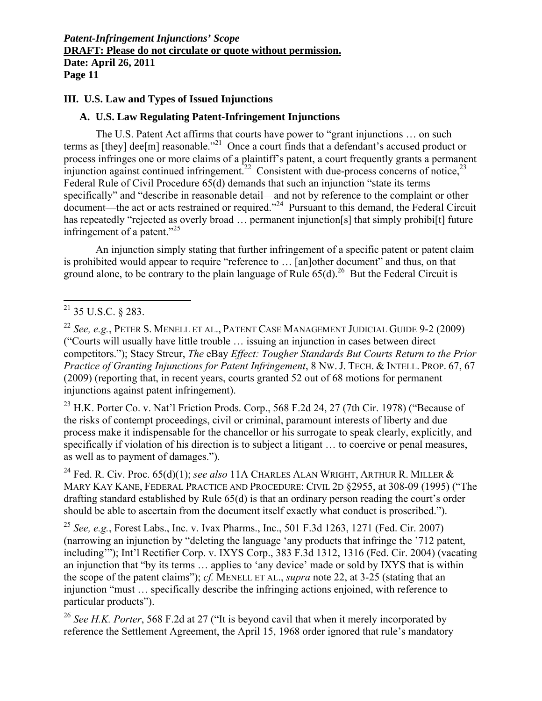### **III. U.S. Law and Types of Issued Injunctions**

### **A. U.S. Law Regulating Patent-Infringement Injunctions**

The U.S. Patent Act affirms that courts have power to "grant injunctions … on such terms as [they] dee[m] reasonable."<sup>21</sup> Once a court finds that a defendant's accused product or process infringes one or more claims of a plaintiff's patent, a court frequently grants a permanent injunction against continued infringement.<sup>22</sup> Consistent with due-process concerns of notice,<sup>23</sup> Federal Rule of Civil Procedure 65(d) demands that such an injunction "state its terms specifically" and "describe in reasonable detail—and not by reference to the complaint or other document—the act or acts restrained or required."24 Pursuant to this demand, the Federal Circuit has repeatedly "rejected as overly broad ... permanent injunction[s] that simply prohibi[t] future infringement of a patent."25

An injunction simply stating that further infringement of a specific patent or patent claim is prohibited would appear to require "reference to … [an]other document" and thus, on that ground alone, to be contrary to the plain language of Rule  $65(d)$ <sup>26</sup> But the Federal Circuit is

 $\overline{a}$ 

<sup>23</sup> H.K. Porter Co. v. Nat'l Friction Prods. Corp., 568 F.2d 24, 27 (7th Cir. 1978) ("Because of the risks of contempt proceedings, civil or criminal, paramount interests of liberty and due process make it indispensable for the chancellor or his surrogate to speak clearly, explicitly, and specifically if violation of his direction is to subject a litigant … to coercive or penal measures, as well as to payment of damages.").

24 Fed. R. Civ. Proc. 65(d)(1); *see also* 11A CHARLES ALAN WRIGHT, ARTHUR R. MILLER & MARY KAY KANE, FEDERAL PRACTICE AND PROCEDURE: CIVIL 2D §2955, at 308-09 (1995) ("The drafting standard established by Rule 65(d) is that an ordinary person reading the court's order should be able to ascertain from the document itself exactly what conduct is proscribed.").

<sup>25</sup> *See, e.g.*, Forest Labs., Inc. v. Ivax Pharms., Inc., 501 F.3d 1263, 1271 (Fed. Cir. 2007) (narrowing an injunction by "deleting the language 'any products that infringe the '712 patent, including'"); Int'l Rectifier Corp. v. IXYS Corp., 383 F.3d 1312, 1316 (Fed. Cir. 2004) (vacating an injunction that "by its terms … applies to 'any device' made or sold by IXYS that is within the scope of the patent claims"); *cf.* MENELL ET AL., *supra* note 22, at 3-25 (stating that an injunction "must … specifically describe the infringing actions enjoined, with reference to particular products").

<sup>26</sup> *See H.K. Porter*, 568 F.2d at 27 ("It is beyond cavil that when it merely incorporated by reference the Settlement Agreement, the April 15, 1968 order ignored that rule's mandatory

 $^{21}$  35 U.S.C. § 283.

<sup>22</sup> *See, e.g.*, PETER S. MENELL ET AL., PATENT CASE MANAGEMENT JUDICIAL GUIDE 9-2 (2009) ("Courts will usually have little trouble … issuing an injunction in cases between direct competitors."); Stacy Streur, *The* eBay *Effect: Tougher Standards But Courts Return to the Prior Practice of Granting Injunctions for Patent Infringement*, 8 NW. J. TECH. & INTELL. PROP. 67, 67 (2009) (reporting that, in recent years, courts granted 52 out of 68 motions for permanent injunctions against patent infringement).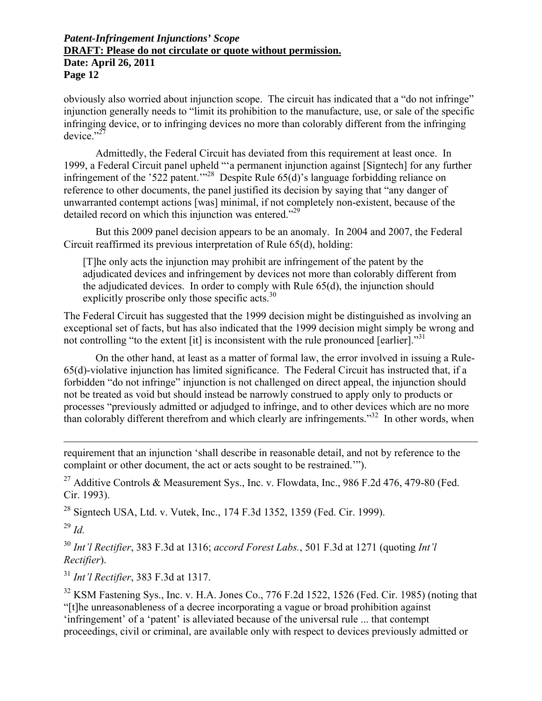obviously also worried about injunction scope. The circuit has indicated that a "do not infringe" injunction generally needs to "limit its prohibition to the manufacture, use, or sale of the specific infringing device, or to infringing devices no more than colorably different from the infringing device." $^{27}$ 

Admittedly, the Federal Circuit has deviated from this requirement at least once. In 1999, a Federal Circuit panel upheld "'a permanent injunction against [Signtech] for any further infringement of the '522 patent.'<sup>28</sup> Despite Rule 65(d)'s language forbidding reliance on reference to other documents, the panel justified its decision by saying that "any danger of unwarranted contempt actions [was] minimal, if not completely non-existent, because of the detailed record on which this injunction was entered.<sup>229</sup>

But this 2009 panel decision appears to be an anomaly. In 2004 and 2007, the Federal Circuit reaffirmed its previous interpretation of Rule 65(d), holding:

[T]he only acts the injunction may prohibit are infringement of the patent by the adjudicated devices and infringement by devices not more than colorably different from the adjudicated devices. In order to comply with Rule 65(d), the injunction should explicitly proscribe only those specific acts.<sup>30</sup>

The Federal Circuit has suggested that the 1999 decision might be distinguished as involving an exceptional set of facts, but has also indicated that the 1999 decision might simply be wrong and not controlling "to the extent  $\lceil \text{it} \rceil$  is inconsistent with the rule pronounced  $\lceil \text{earlier} \rceil$ ."

On the other hand, at least as a matter of formal law, the error involved in issuing a Rule-65(d)-violative injunction has limited significance. The Federal Circuit has instructed that, if a forbidden "do not infringe" injunction is not challenged on direct appeal, the injunction should not be treated as void but should instead be narrowly construed to apply only to products or processes "previously admitted or adjudged to infringe, and to other devices which are no more than colorably different therefrom and which clearly are infringements."32 In other words, when

requirement that an injunction 'shall describe in reasonable detail, and not by reference to the complaint or other document, the act or acts sought to be restrained.'").

<sup>27</sup> Additive Controls & Measurement Sys., Inc. v. Flowdata, Inc., 986 F.2d 476, 479-80 (Fed.) Cir. 1993).

<sup>28</sup> Signtech USA, Ltd. v. Vutek, Inc., 174 F.3d 1352, 1359 (Fed. Cir. 1999).

<sup>29</sup> *Id.*

 $\overline{a}$ 

<sup>30</sup> *Int'l Rectifier*, 383 F.3d at 1316; *accord Forest Labs.*, 501 F.3d at 1271 (quoting *Int'l Rectifier*).

<sup>31</sup> *Int'l Rectifier*, 383 F.3d at 1317.

<sup>32</sup> KSM Fastening Sys., Inc. v. H.A. Jones Co., 776 F.2d 1522, 1526 (Fed. Cir. 1985) (noting that "[t]he unreasonableness of a decree incorporating a vague or broad prohibition against 'infringement' of a 'patent' is alleviated because of the universal rule ... that contempt proceedings, civil or criminal, are available only with respect to devices previously admitted or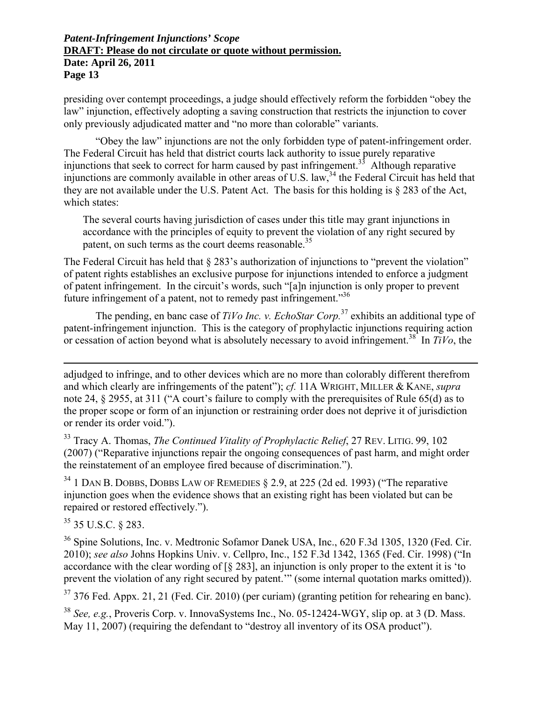presiding over contempt proceedings, a judge should effectively reform the forbidden "obey the law" injunction, effectively adopting a saving construction that restricts the injunction to cover only previously adjudicated matter and "no more than colorable" variants.

"Obey the law" injunctions are not the only forbidden type of patent-infringement order. The Federal Circuit has held that district courts lack authority to issue purely reparative injunctions that seek to correct for harm caused by past infringement.<sup>33</sup> Although reparative injunctions are commonly available in other areas of U.S. law,34 the Federal Circuit has held that they are not available under the U.S. Patent Act. The basis for this holding is § 283 of the Act, which states:

The several courts having jurisdiction of cases under this title may grant injunctions in accordance with the principles of equity to prevent the violation of any right secured by patent, on such terms as the court deems reasonable.<sup>35</sup>

The Federal Circuit has held that § 283's authorization of injunctions to "prevent the violation" of patent rights establishes an exclusive purpose for injunctions intended to enforce a judgment of patent infringement. In the circuit's words, such "[a]n injunction is only proper to prevent future infringement of a patent, not to remedy past infringement.<sup>356</sup>

The pending, en banc case of *TiVo Inc. v. EchoStar Corp.*37 exhibits an additional type of patent-infringement injunction. This is the category of prophylactic injunctions requiring action or cessation of action beyond what is absolutely necessary to avoid infringement.<sup>38</sup> In  $TiVo$ , the

adjudged to infringe, and to other devices which are no more than colorably different therefrom and which clearly are infringements of the patent"); *cf.* 11A WRIGHT, MILLER & KANE, *supra* note 24, § 2955, at 311 ("A court's failure to comply with the prerequisites of Rule 65(d) as to the proper scope or form of an injunction or restraining order does not deprive it of jurisdiction or render its order void.").

33 Tracy A. Thomas, *The Continued Vitality of Prophylactic Relief*, 27 REV. LITIG. 99, 102 (2007) ("Reparative injunctions repair the ongoing consequences of past harm, and might order the reinstatement of an employee fired because of discrimination.").

 $34$  1 DAN B. DOBBS, DOBBS LAW OF REMEDIES § 2.9, at 225 (2d ed. 1993) ("The reparative injunction goes when the evidence shows that an existing right has been violated but can be repaired or restored effectively.").

35 35 U.S.C. § 283.

 $\overline{a}$ 

<sup>36</sup> Spine Solutions, Inc. v. Medtronic Sofamor Danek USA, Inc., 620 F.3d 1305, 1320 (Fed. Cir.) 2010); *see also* Johns Hopkins Univ. v. Cellpro, Inc., 152 F.3d 1342, 1365 (Fed. Cir. 1998) ("In accordance with the clear wording of [§ 283], an injunction is only proper to the extent it is 'to prevent the violation of any right secured by patent.'" (some internal quotation marks omitted)).

<sup>37</sup> 376 Fed. Appx. 21, 21 (Fed. Cir. 2010) (per curiam) (granting petition for rehearing en banc).

<sup>38</sup> *See, e.g.*, Proveris Corp. v. InnovaSystems Inc., No. 05-12424-WGY, slip op. at 3 (D. Mass. May 11, 2007) (requiring the defendant to "destroy all inventory of its OSA product").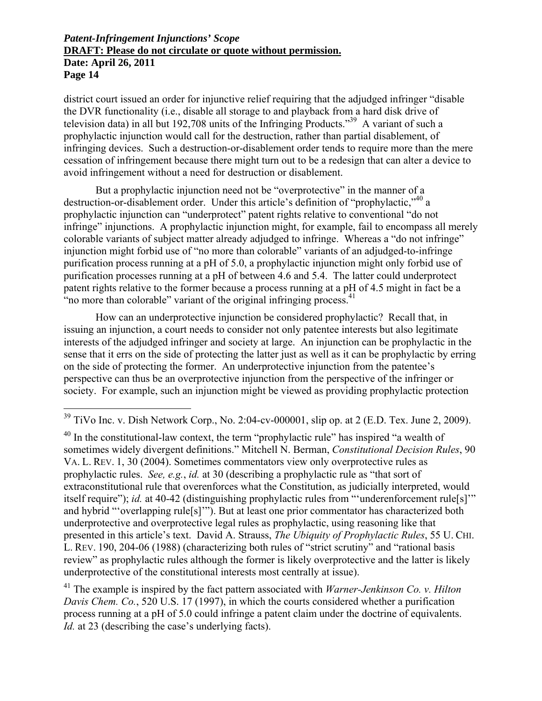district court issued an order for injunctive relief requiring that the adjudged infringer "disable the DVR functionality (i.e., disable all storage to and playback from a hard disk drive of television data) in all but 192,708 units of the Infringing Products."39 A variant of such a prophylactic injunction would call for the destruction, rather than partial disablement, of infringing devices. Such a destruction-or-disablement order tends to require more than the mere cessation of infringement because there might turn out to be a redesign that can alter a device to avoid infringement without a need for destruction or disablement.

But a prophylactic injunction need not be "overprotective" in the manner of a destruction-or-disablement order. Under this article's definition of "prophylactic,"<sup>40</sup> a prophylactic injunction can "underprotect" patent rights relative to conventional "do not infringe" injunctions. A prophylactic injunction might, for example, fail to encompass all merely colorable variants of subject matter already adjudged to infringe. Whereas a "do not infringe" injunction might forbid use of "no more than colorable" variants of an adjudged-to-infringe purification process running at a pH of 5.0, a prophylactic injunction might only forbid use of purification processes running at a pH of between 4.6 and 5.4. The latter could underprotect patent rights relative to the former because a process running at a pH of 4.5 might in fact be a "no more than colorable" variant of the original infringing process. $<sup>41</sup>$ </sup>

How can an underprotective injunction be considered prophylactic? Recall that, in issuing an injunction, a court needs to consider not only patentee interests but also legitimate interests of the adjudged infringer and society at large. An injunction can be prophylactic in the sense that it errs on the side of protecting the latter just as well as it can be prophylactic by erring on the side of protecting the former. An underprotective injunction from the patentee's perspective can thus be an overprotective injunction from the perspective of the infringer or society. For example, such an injunction might be viewed as providing prophylactic protection

 $\overline{a}$ 

 $40$  In the constitutional-law context, the term "prophylactic rule" has inspired "a wealth of sometimes widely divergent definitions." Mitchell N. Berman, *Constitutional Decision Rules*, 90 VA. L. REV. 1, 30 (2004). Sometimes commentators view only overprotective rules as prophylactic rules. *See, e.g.*, *id.* at 30 (describing a prophylactic rule as "that sort of extraconstitutional rule that overenforces what the Constitution, as judicially interpreted, would itself require"); *id.* at 40-42 (distinguishing prophylactic rules from "'underenforcement rule[s]'" and hybrid "'overlapping rule[s]'"). But at least one prior commentator has characterized both underprotective and overprotective legal rules as prophylactic, using reasoning like that presented in this article's text. David A. Strauss, *The Ubiquity of Prophylactic Rules*, 55 U. CHI. L. REV. 190, 204-06 (1988) (characterizing both rules of "strict scrutiny" and "rational basis review" as prophylactic rules although the former is likely overprotective and the latter is likely underprotective of the constitutional interests most centrally at issue).

41 The example is inspired by the fact pattern associated with *Warner-Jenkinson Co. v. Hilton Davis Chem. Co.*, 520 U.S. 17 (1997), in which the courts considered whether a purification process running at a pH of 5.0 could infringe a patent claim under the doctrine of equivalents. *Id.* at 23 (describing the case's underlying facts).

 $39$  TiVo Inc. v. Dish Network Corp., No. 2:04-cv-000001, slip op. at 2 (E.D. Tex. June 2, 2009).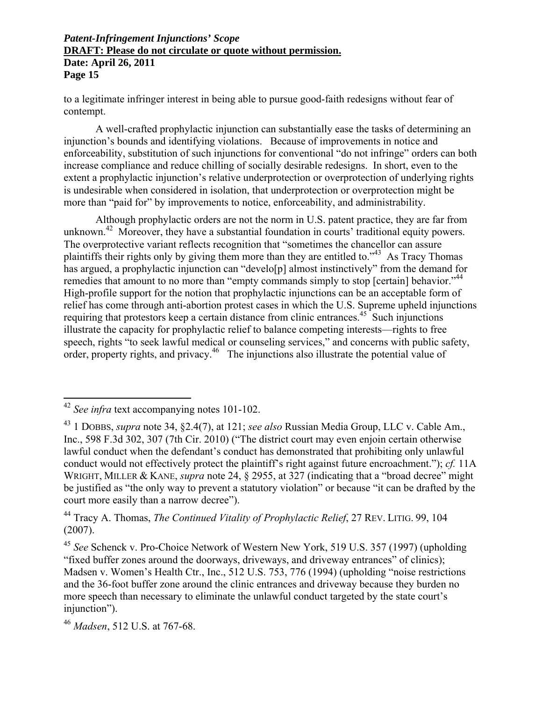to a legitimate infringer interest in being able to pursue good-faith redesigns without fear of contempt.

A well-crafted prophylactic injunction can substantially ease the tasks of determining an injunction's bounds and identifying violations. Because of improvements in notice and enforceability, substitution of such injunctions for conventional "do not infringe" orders can both increase compliance and reduce chilling of socially desirable redesigns. In short, even to the extent a prophylactic injunction's relative underprotection or overprotection of underlying rights is undesirable when considered in isolation, that underprotection or overprotection might be more than "paid for" by improvements to notice, enforceability, and administrability.

Although prophylactic orders are not the norm in U.S. patent practice, they are far from unknown.<sup>42</sup> Moreover, they have a substantial foundation in courts' traditional equity powers. The overprotective variant reflects recognition that "sometimes the chancellor can assure plaintiffs their rights only by giving them more than they are entitled to."43 As Tracy Thomas has argued, a prophylactic injunction can "develo[p] almost instinctively" from the demand for remedies that amount to no more than "empty commands simply to stop [certain] behavior."<sup>44</sup> High-profile support for the notion that prophylactic injunctions can be an acceptable form of relief has come through anti-abortion protest cases in which the U.S. Supreme upheld injunctions requiring that protestors keep a certain distance from clinic entrances.<sup>45</sup> Such injunctions illustrate the capacity for prophylactic relief to balance competing interests—rights to free speech, rights "to seek lawful medical or counseling services," and concerns with public safety, order, property rights, and privacy.<sup>46</sup> The injunctions also illustrate the potential value of

 $\overline{a}$ 

<sup>&</sup>lt;sup>42</sup> See infra text accompanying notes 101-102.

<sup>43 1</sup> DOBBS, *supra* note 34, §2.4(7), at 121; *see also* Russian Media Group, LLC v. Cable Am., Inc., 598 F.3d 302, 307 (7th Cir. 2010) ("The district court may even enjoin certain otherwise lawful conduct when the defendant's conduct has demonstrated that prohibiting only unlawful conduct would not effectively protect the plaintiff's right against future encroachment."); *cf.* 11A WRIGHT, MILLER & KANE, *supra* note 24, § 2955, at 327 (indicating that a "broad decree" might be justified as "the only way to prevent a statutory violation" or because "it can be drafted by the court more easily than a narrow decree").

<sup>44</sup> Tracy A. Thomas, *The Continued Vitality of Prophylactic Relief*, 27 REV. LITIG. 99, 104 (2007).

<sup>45</sup> *See* Schenck v. Pro-Choice Network of Western New York, 519 U.S. 357 (1997) (upholding "fixed buffer zones around the doorways, driveways, and driveway entrances" of clinics); Madsen v. Women's Health Ctr., Inc., 512 U.S. 753, 776 (1994) (upholding "noise restrictions and the 36-foot buffer zone around the clinic entrances and driveway because they burden no more speech than necessary to eliminate the unlawful conduct targeted by the state court's injunction").

<sup>46</sup> *Madsen*, 512 U.S. at 767-68.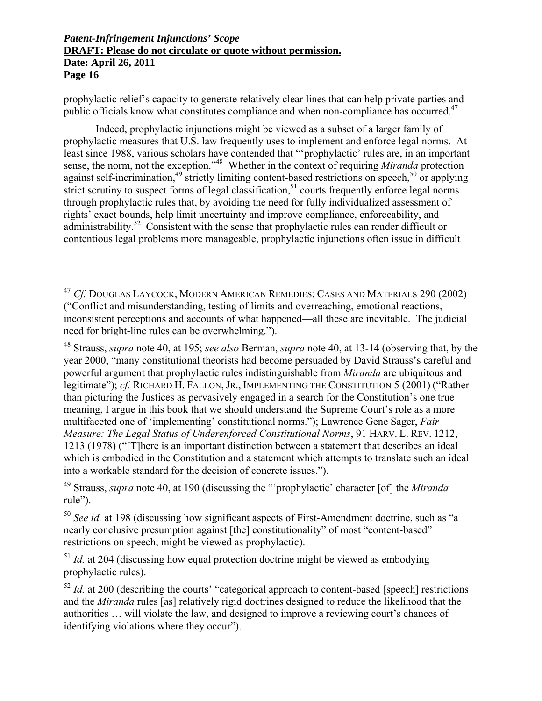$\overline{a}$ 

prophylactic relief's capacity to generate relatively clear lines that can help private parties and public officials know what constitutes compliance and when non-compliance has occurred.<sup>47</sup>

Indeed, prophylactic injunctions might be viewed as a subset of a larger family of prophylactic measures that U.S. law frequently uses to implement and enforce legal norms. At least since 1988, various scholars have contended that "'prophylactic' rules are, in an important sense, the norm, not the exception."48 Whether in the context of requiring *Miranda* protection against self-incrimination,<sup>49</sup> strictly limiting content-based restrictions on speech,<sup>50</sup> or applying strict scrutiny to suspect forms of legal classification,  $51$  courts frequently enforce legal norms through prophylactic rules that, by avoiding the need for fully individualized assessment of rights' exact bounds, help limit uncertainty and improve compliance, enforceability, and administrability.<sup>52</sup> Consistent with the sense that prophylactic rules can render difficult or contentious legal problems more manageable, prophylactic injunctions often issue in difficult

49 Strauss, *supra* note 40, at 190 (discussing the "'prophylactic' character [of] the *Miranda* rule").

<sup>51</sup> *Id.* at 204 (discussing how equal protection doctrine might be viewed as embodying prophylactic rules).

<sup>52</sup> *Id.* at 200 (describing the courts' "categorical approach to content-based [speech] restrictions and the *Miranda* rules [as] relatively rigid doctrines designed to reduce the likelihood that the authorities … will violate the law, and designed to improve a reviewing court's chances of identifying violations where they occur").

<sup>47</sup> *Cf.* DOUGLAS LAYCOCK, MODERN AMERICAN REMEDIES: CASES AND MATERIALS 290 (2002) ("Conflict and misunderstanding, testing of limits and overreaching, emotional reactions, inconsistent perceptions and accounts of what happened—all these are inevitable. The judicial need for bright-line rules can be overwhelming.").

<sup>48</sup> Strauss, *supra* note 40, at 195; *see also* Berman, *supra* note 40, at 13-14 (observing that, by the year 2000, "many constitutional theorists had become persuaded by David Strauss's careful and powerful argument that prophylactic rules indistinguishable from *Miranda* are ubiquitous and legitimate"); *cf.* RICHARD H. FALLON, JR., IMPLEMENTING THE CONSTITUTION 5 (2001) ("Rather than picturing the Justices as pervasively engaged in a search for the Constitution's one true meaning, I argue in this book that we should understand the Supreme Court's role as a more multifaceted one of 'implementing' constitutional norms."); Lawrence Gene Sager, *Fair Measure: The Legal Status of Underenforced Constitutional Norms*, 91 HARV. L. REV. 1212, 1213 (1978) ("[T]here is an important distinction between a statement that describes an ideal which is embodied in the Constitution and a statement which attempts to translate such an ideal into a workable standard for the decision of concrete issues.").

<sup>50</sup> *See id.* at 198 (discussing how significant aspects of First-Amendment doctrine, such as "a nearly conclusive presumption against [the] constitutionality" of most "content-based" restrictions on speech, might be viewed as prophylactic).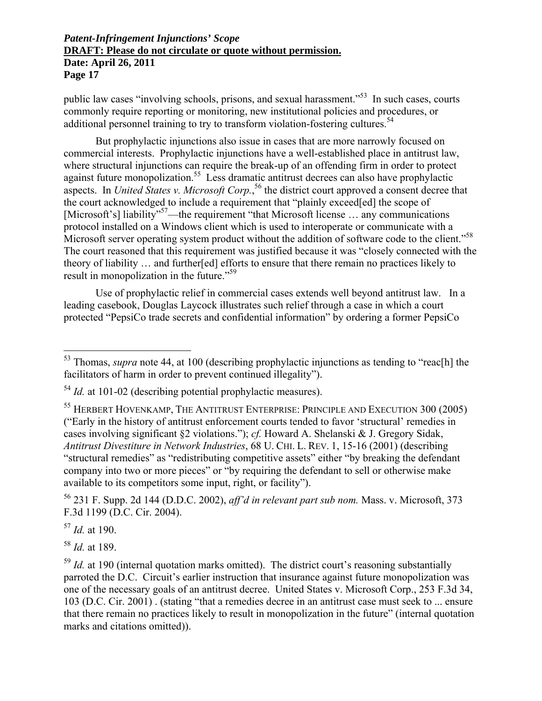public law cases "involving schools, prisons, and sexual harassment."53 In such cases, courts commonly require reporting or monitoring, new institutional policies and procedures, or additional personnel training to try to transform violation-fostering cultures.<sup>54</sup>

But prophylactic injunctions also issue in cases that are more narrowly focused on commercial interests. Prophylactic injunctions have a well-established place in antitrust law, where structural injunctions can require the break-up of an offending firm in order to protect against future monopolization.55 Less dramatic antitrust decrees can also have prophylactic aspects. In *United States v. Microsoft Corp.*, 56 the district court approved a consent decree that the court acknowledged to include a requirement that "plainly exceed[ed] the scope of [Microsoft's] liability<sup>57</sup>—the requirement "that Microsoft license ... any communications protocol installed on a Windows client which is used to interoperate or communicate with a Microsoft server operating system product without the addition of software code to the client."<sup>58</sup> The court reasoned that this requirement was justified because it was "closely connected with the theory of liability … and further[ed] efforts to ensure that there remain no practices likely to result in monopolization in the future."<sup>59</sup>

Use of prophylactic relief in commercial cases extends well beyond antitrust law. In a leading casebook, Douglas Laycock illustrates such relief through a case in which a court protected "PepsiCo trade secrets and confidential information" by ordering a former PepsiCo

56 231 F. Supp. 2d 144 (D.D.C. 2002), *aff'd in relevant part sub nom.* Mass. v. Microsoft, 373 F.3d 1199 (D.C. Cir. 2004).

<sup>57</sup> *Id.* at 190.

 $\overline{a}$ 

<sup>58</sup> *Id.* at 189.

<sup>53</sup> Thomas, *supra* note 44, at 100 (describing prophylactic injunctions as tending to "reac[h] the facilitators of harm in order to prevent continued illegality").

<sup>54</sup> *Id.* at 101-02 (describing potential prophylactic measures).

<sup>&</sup>lt;sup>55</sup> HERBERT HOVENKAMP, THE ANTITRUST ENTERPRISE: PRINCIPLE AND EXECUTION 300 (2005) ("Early in the history of antitrust enforcement courts tended to favor 'structural' remedies in cases involving significant §2 violations."); *cf.* Howard A. Shelanski & J. Gregory Sidak, *Antitrust Divestiture in Network Industries*, 68 U. CHI. L. REV. 1, 15-16 (2001) (describing "structural remedies" as "redistributing competitive assets" either "by breaking the defendant company into two or more pieces" or "by requiring the defendant to sell or otherwise make available to its competitors some input, right, or facility").

<sup>&</sup>lt;sup>59</sup> *Id.* at 190 (internal quotation marks omitted). The district court's reasoning substantially parroted the D.C. Circuit's earlier instruction that insurance against future monopolization was one of the necessary goals of an antitrust decree. United States v. Microsoft Corp., 253 F.3d 34, 103 (D.C. Cir. 2001) . (stating "that a remedies decree in an antitrust case must seek to ... ensure that there remain no practices likely to result in monopolization in the future" (internal quotation marks and citations omitted)).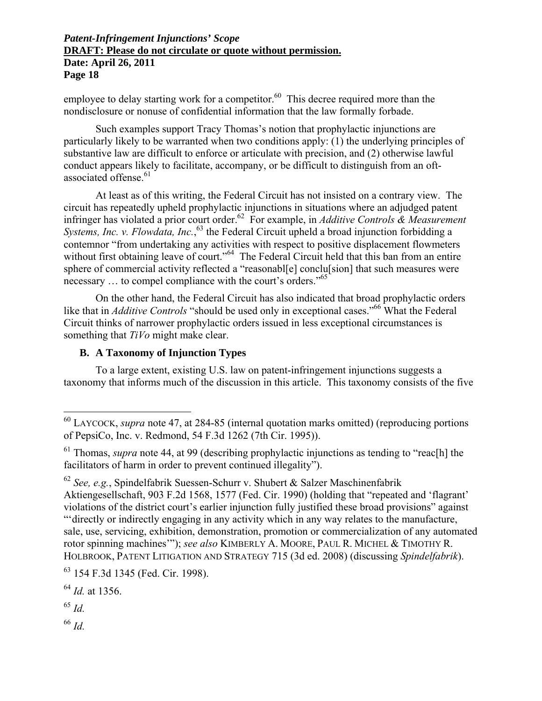employee to delay starting work for a competitor. $60$  This decree required more than the nondisclosure or nonuse of confidential information that the law formally forbade.

Such examples support Tracy Thomas's notion that prophylactic injunctions are particularly likely to be warranted when two conditions apply: (1) the underlying principles of substantive law are difficult to enforce or articulate with precision, and (2) otherwise lawful conduct appears likely to facilitate, accompany, or be difficult to distinguish from an oftassociated offense.<sup>61</sup>

At least as of this writing, the Federal Circuit has not insisted on a contrary view. The circuit has repeatedly upheld prophylactic injunctions in situations where an adjudged patent infringer has violated a prior court order.62 For example, in *Additive Controls & Measurement*  Systems, Inc. v. Flowdata, Inc.,<sup>63</sup> the Federal Circuit upheld a broad injunction forbidding a contemnor "from undertaking any activities with respect to positive displacement flowmeters without first obtaining leave of court."<sup>64</sup> The Federal Circuit held that this ban from an entire sphere of commercial activity reflected a "reasonabl[e] conclu[sion] that such measures were necessary ... to compel compliance with the court's orders."<sup>65</sup>

On the other hand, the Federal Circuit has also indicated that broad prophylactic orders like that in *Additive Controls* "should be used only in exceptional cases."<sup>66</sup> What the Federal Circuit thinks of narrower prophylactic orders issued in less exceptional circumstances is something that *TiVo* might make clear.

### **B. A Taxonomy of Injunction Types**

To a large extent, existing U.S. law on patent-infringement injunctions suggests a taxonomy that informs much of the discussion in this article. This taxonomy consists of the five

<sup>62</sup> *See, e.g.*, Spindelfabrik Suessen-Schurr v. Shubert & Salzer Maschinenfabrik Aktiengesellschaft, 903 F.2d 1568, 1577 (Fed. Cir. 1990) (holding that "repeated and 'flagrant' violations of the district court's earlier injunction fully justified these broad provisions" against "'directly or indirectly engaging in any activity which in any way relates to the manufacture, sale, use, servicing, exhibition, demonstration, promotion or commercialization of any automated rotor spinning machines'"); *see also* KIMBERLY A. MOORE, PAUL R. MICHEL & TIMOTHY R. HOLBROOK, PATENT LITIGATION AND STRATEGY 715 (3d ed. 2008) (discussing *Spindelfabrik*).

<sup>64</sup> *Id.* at 1356.

<sup>65</sup> *Id.*

 $\overline{a}$ 

<sup>66</sup> *Id.*

<sup>60</sup> LAYCOCK, *supra* note 47, at 284-85 (internal quotation marks omitted) (reproducing portions of PepsiCo, Inc. v. Redmond, 54 F.3d 1262 (7th Cir. 1995)).

<sup>61</sup> Thomas, *supra* note 44, at 99 (describing prophylactic injunctions as tending to "reac[h] the facilitators of harm in order to prevent continued illegality").

<sup>63 154</sup> F.3d 1345 (Fed. Cir. 1998).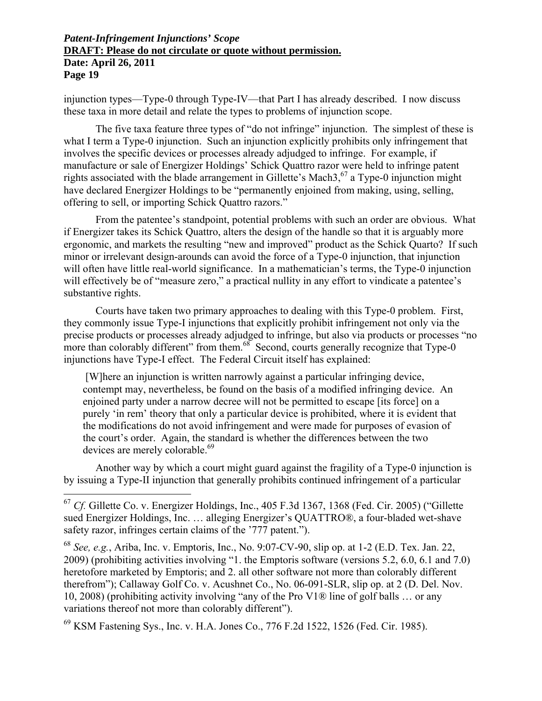injunction types—Type-0 through Type-IV—that Part I has already described. I now discuss these taxa in more detail and relate the types to problems of injunction scope.

The five taxa feature three types of "do not infringe" injunction. The simplest of these is what I term a Type-0 injunction. Such an injunction explicitly prohibits only infringement that involves the specific devices or processes already adjudged to infringe. For example, if manufacture or sale of Energizer Holdings' Schick Quattro razor were held to infringe patent rights associated with the blade arrangement in Gillette's Mach3,<sup>67</sup> a Type-0 injunction might have declared Energizer Holdings to be "permanently enjoined from making, using, selling, offering to sell, or importing Schick Quattro razors."

From the patentee's standpoint, potential problems with such an order are obvious. What if Energizer takes its Schick Quattro, alters the design of the handle so that it is arguably more ergonomic, and markets the resulting "new and improved" product as the Schick Quarto? If such minor or irrelevant design-arounds can avoid the force of a Type-0 injunction, that injunction will often have little real-world significance. In a mathematician's terms, the Type-0 injunction will effectively be of "measure zero," a practical nullity in any effort to vindicate a patentee's substantive rights.

Courts have taken two primary approaches to dealing with this Type-0 problem. First, they commonly issue Type-I injunctions that explicitly prohibit infringement not only via the precise products or processes already adjudged to infringe, but also via products or processes "no more than colorably different" from them. $68^\circ$  Second, courts generally recognize that Type-0 injunctions have Type-I effect. The Federal Circuit itself has explained:

 [W]here an injunction is written narrowly against a particular infringing device, contempt may, nevertheless, be found on the basis of a modified infringing device. An enjoined party under a narrow decree will not be permitted to escape [its force] on a purely 'in rem' theory that only a particular device is prohibited, where it is evident that the modifications do not avoid infringement and were made for purposes of evasion of the court's order. Again, the standard is whether the differences between the two devices are merely colorable.<sup>69</sup>

Another way by which a court might guard against the fragility of a Type-0 injunction is by issuing a Type-II injunction that generally prohibits continued infringement of a particular

 $\overline{a}$ 

69 KSM Fastening Sys., Inc. v. H.A. Jones Co., 776 F.2d 1522, 1526 (Fed. Cir. 1985).

<sup>&</sup>lt;sup>67</sup> *Cf.* Gillette Co. v. Energizer Holdings, Inc., 405 F.3d 1367, 1368 (Fed. Cir. 2005) ("Gillette sued Energizer Holdings, Inc. … alleging Energizer's QUATTRO®, a four-bladed wet-shave safety razor, infringes certain claims of the '777 patent.").

<sup>68</sup> *See, e.g.*, Ariba, Inc. v. Emptoris, Inc., No. 9:07-CV-90, slip op. at 1-2 (E.D. Tex. Jan. 22, 2009) (prohibiting activities involving "1. the Emptoris software (versions 5.2, 6.0, 6.1 and 7.0) heretofore marketed by Emptoris; and 2. all other software not more than colorably different therefrom"); Callaway Golf Co. v. Acushnet Co., No. 06-091-SLR, slip op. at 2 (D. Del. Nov. 10, 2008) (prohibiting activity involving "any of the Pro V1® line of golf balls … or any variations thereof not more than colorably different").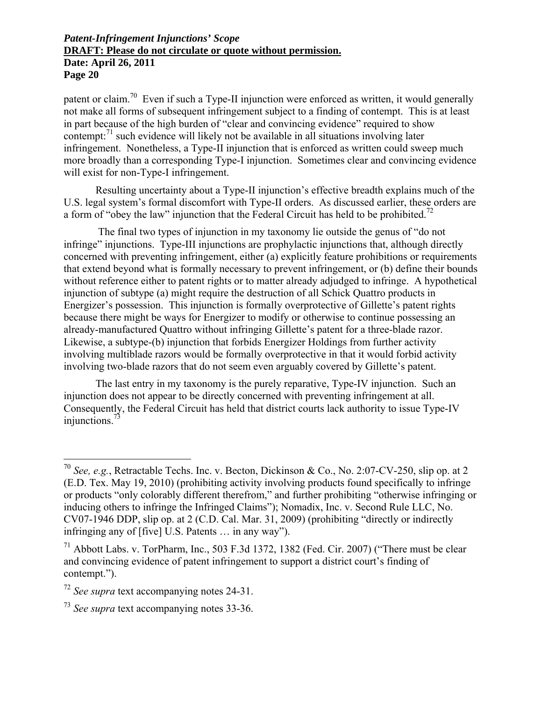patent or claim.70 Even if such a Type-II injunction were enforced as written, it would generally not make all forms of subsequent infringement subject to a finding of contempt. This is at least in part because of the high burden of "clear and convincing evidence" required to show contempt: $<sup>71</sup>$  such evidence will likely not be available in all situations involving later</sup> infringement. Nonetheless, a Type-II injunction that is enforced as written could sweep much more broadly than a corresponding Type-I injunction. Sometimes clear and convincing evidence will exist for non-Type-I infringement.

Resulting uncertainty about a Type-II injunction's effective breadth explains much of the U.S. legal system's formal discomfort with Type-II orders. As discussed earlier, these orders are a form of "obey the law" injunction that the Federal Circuit has held to be prohibited.<sup>72</sup>

 The final two types of injunction in my taxonomy lie outside the genus of "do not infringe" injunctions. Type-III injunctions are prophylactic injunctions that, although directly concerned with preventing infringement, either (a) explicitly feature prohibitions or requirements that extend beyond what is formally necessary to prevent infringement, or (b) define their bounds without reference either to patent rights or to matter already adjudged to infringe. A hypothetical injunction of subtype (a) might require the destruction of all Schick Quattro products in Energizer's possession. This injunction is formally overprotective of Gillette's patent rights because there might be ways for Energizer to modify or otherwise to continue possessing an already-manufactured Quattro without infringing Gillette's patent for a three-blade razor. Likewise, a subtype-(b) injunction that forbids Energizer Holdings from further activity involving multiblade razors would be formally overprotective in that it would forbid activity involving two-blade razors that do not seem even arguably covered by Gillette's patent.

The last entry in my taxonomy is the purely reparative, Type-IV injunction. Such an injunction does not appear to be directly concerned with preventing infringement at all. Consequently, the Federal Circuit has held that district courts lack authority to issue Type-IV injunctions.73

 $\overline{a}$ 

<sup>70</sup> *See, e.g.*, Retractable Techs. Inc. v. Becton, Dickinson & Co., No. 2:07-CV-250, slip op. at 2 (E.D. Tex. May 19, 2010) (prohibiting activity involving products found specifically to infringe or products "only colorably different therefrom," and further prohibiting "otherwise infringing or inducing others to infringe the Infringed Claims"); Nomadix, Inc. v. Second Rule LLC, No. CV07-1946 DDP, slip op. at 2 (C.D. Cal. Mar. 31, 2009) (prohibiting "directly or indirectly infringing any of [five] U.S. Patents … in any way").

 $^{71}$  Abbott Labs. v. TorPharm, Inc., 503 F.3d 1372, 1382 (Fed. Cir. 2007) ("There must be clear and convincing evidence of patent infringement to support a district court's finding of contempt.").

<sup>72</sup> *See supra* text accompanying notes 24-31.

<sup>73</sup> *See supra* text accompanying notes 33-36.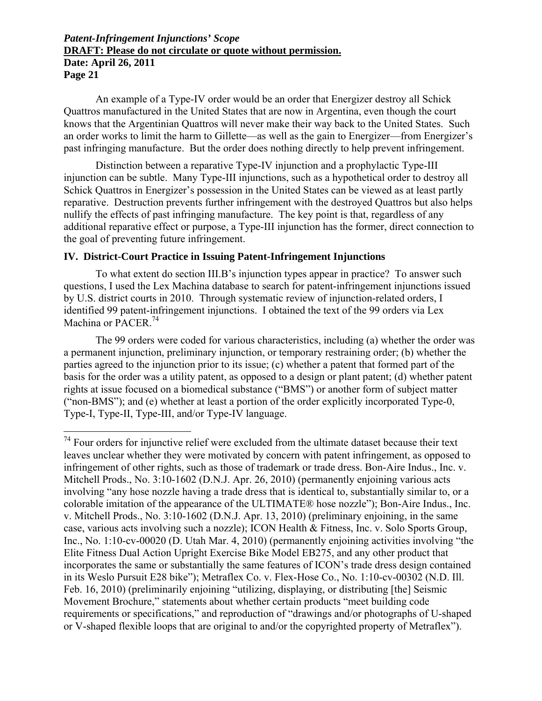An example of a Type-IV order would be an order that Energizer destroy all Schick Quattros manufactured in the United States that are now in Argentina, even though the court knows that the Argentinian Quattros will never make their way back to the United States. Such an order works to limit the harm to Gillette—as well as the gain to Energizer—from Energizer's past infringing manufacture. But the order does nothing directly to help prevent infringement.

Distinction between a reparative Type-IV injunction and a prophylactic Type-III injunction can be subtle. Many Type-III injunctions, such as a hypothetical order to destroy all Schick Quattros in Energizer's possession in the United States can be viewed as at least partly reparative. Destruction prevents further infringement with the destroyed Quattros but also helps nullify the effects of past infringing manufacture. The key point is that, regardless of any additional reparative effect or purpose, a Type-III injunction has the former, direct connection to the goal of preventing future infringement.

### **IV. District-Court Practice in Issuing Patent-Infringement Injunctions**

To what extent do section III.B's injunction types appear in practice? To answer such questions, I used the Lex Machina database to search for patent-infringement injunctions issued by U.S. district courts in 2010. Through systematic review of injunction-related orders, I identified 99 patent-infringement injunctions. I obtained the text of the 99 orders via Lex Machina or PACER<sup>74</sup>

The 99 orders were coded for various characteristics, including (a) whether the order was a permanent injunction, preliminary injunction, or temporary restraining order; (b) whether the parties agreed to the injunction prior to its issue; (c) whether a patent that formed part of the basis for the order was a utility patent, as opposed to a design or plant patent; (d) whether patent rights at issue focused on a biomedical substance ("BMS") or another form of subject matter ("non-BMS"); and (e) whether at least a portion of the order explicitly incorporated Type-0, Type-I, Type-II, Type-III, and/or Type-IV language.

 $\overline{a}$  $74$  Four orders for injunctive relief were excluded from the ultimate dataset because their text leaves unclear whether they were motivated by concern with patent infringement, as opposed to infringement of other rights, such as those of trademark or trade dress. Bon-Aire Indus., Inc. v. Mitchell Prods., No. 3:10-1602 (D.N.J. Apr. 26, 2010) (permanently enjoining various acts involving "any hose nozzle having a trade dress that is identical to, substantially similar to, or a colorable imitation of the appearance of the ULTIMATE® hose nozzle"); Bon-Aire Indus., Inc. v. Mitchell Prods., No. 3:10-1602 (D.N.J. Apr. 13, 2010) (preliminary enjoining, in the same case, various acts involving such a nozzle); ICON Health & Fitness, Inc. v. Solo Sports Group, Inc., No. 1:10-cv-00020 (D. Utah Mar. 4, 2010) (permanently enjoining activities involving "the Elite Fitness Dual Action Upright Exercise Bike Model EB275, and any other product that incorporates the same or substantially the same features of ICON's trade dress design contained in its Weslo Pursuit E28 bike"); Metraflex Co. v. Flex-Hose Co., No. 1:10-cv-00302 (N.D. Ill. Feb. 16, 2010) (preliminarily enjoining "utilizing, displaying, or distributing [the] Seismic Movement Brochure," statements about whether certain products "meet building code requirements or specifications," and reproduction of "drawings and/or photographs of U-shaped or V-shaped flexible loops that are original to and/or the copyrighted property of Metraflex").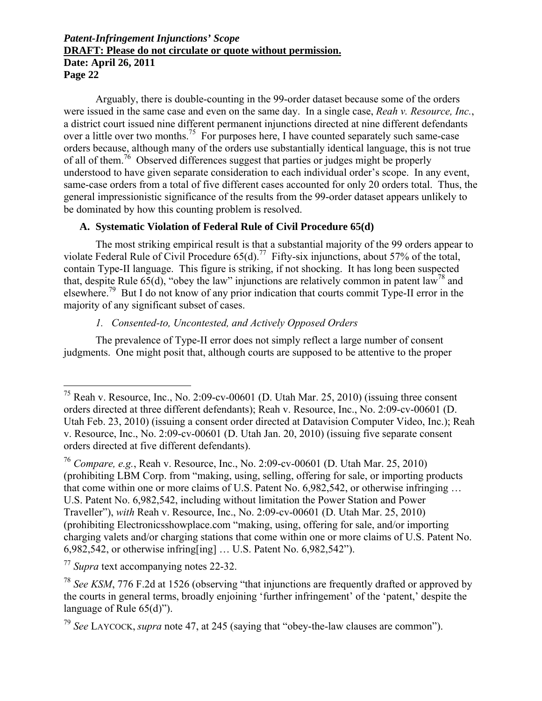Arguably, there is double-counting in the 99-order dataset because some of the orders were issued in the same case and even on the same day. In a single case, *Reah v. Resource, Inc.*, a district court issued nine different permanent injunctions directed at nine different defendants over a little over two months.<sup>75</sup> For purposes here, I have counted separately such same-case orders because, although many of the orders use substantially identical language, this is not true of all of them.<sup>76</sup> Observed differences suggest that parties or judges might be properly understood to have given separate consideration to each individual order's scope. In any event, same-case orders from a total of five different cases accounted for only 20 orders total. Thus, the general impressionistic significance of the results from the 99-order dataset appears unlikely to be dominated by how this counting problem is resolved.

### **A. Systematic Violation of Federal Rule of Civil Procedure 65(d)**

The most striking empirical result is that a substantial majority of the 99 orders appear to violate Federal Rule of Civil Procedure  $65(d)$ .<sup>77</sup> Fifty-six injunctions, about 57% of the total, contain Type-II language. This figure is striking, if not shocking. It has long been suspected that, despite Rule  $65(d)$ , "obey the law" injunctions are relatively common in patent law<sup>78</sup> and elsewhere.79 But I do not know of any prior indication that courts commit Type-II error in the majority of any significant subset of cases.

## *1. Consented-to, Uncontested, and Actively Opposed Orders*

The prevalence of Type-II error does not simply reflect a large number of consent judgments. One might posit that, although courts are supposed to be attentive to the proper

<sup>77</sup> *Supra* text accompanying notes 22-32.

 $\overline{a}$ 

<sup>&</sup>lt;sup>75</sup> Reah v. Resource, Inc., No. 2:09-cv-00601 (D. Utah Mar. 25, 2010) (issuing three consent orders directed at three different defendants); Reah v. Resource, Inc., No. 2:09-cv-00601 (D. Utah Feb. 23, 2010) (issuing a consent order directed at Datavision Computer Video, Inc.); Reah v. Resource, Inc., No. 2:09-cv-00601 (D. Utah Jan. 20, 2010) (issuing five separate consent orders directed at five different defendants).

<sup>76</sup> *Compare, e.g.*, Reah v. Resource, Inc., No. 2:09-cv-00601 (D. Utah Mar. 25, 2010) (prohibiting LBM Corp. from "making, using, selling, offering for sale, or importing products that come within one or more claims of U.S. Patent No. 6,982,542, or otherwise infringing … U.S. Patent No. 6,982,542, including without limitation the Power Station and Power Traveller"), *with* Reah v. Resource, Inc., No. 2:09-cv-00601 (D. Utah Mar. 25, 2010) (prohibiting Electronicsshowplace.com "making, using, offering for sale, and/or importing charging valets and/or charging stations that come within one or more claims of U.S. Patent No. 6,982,542, or otherwise infring[ing] … U.S. Patent No. 6,982,542").

<sup>&</sup>lt;sup>78</sup> *See KSM*, 776 F.2d at 1526 (observing "that injunctions are frequently drafted or approved by the courts in general terms, broadly enjoining 'further infringement' of the 'patent,' despite the language of Rule 65(d)").

<sup>79</sup> *See* LAYCOCK, *supra* note 47, at 245 (saying that "obey-the-law clauses are common").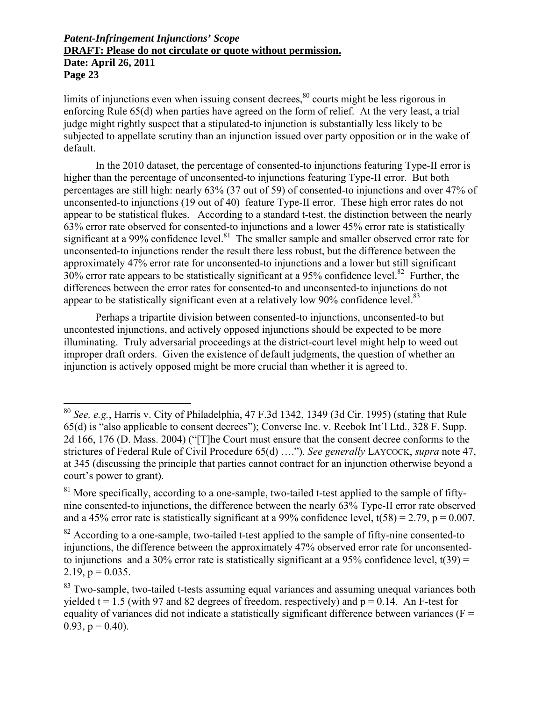1

limits of injunctions even when issuing consent decrees, $80$  courts might be less rigorous in enforcing Rule 65(d) when parties have agreed on the form of relief. At the very least, a trial judge might rightly suspect that a stipulated-to injunction is substantially less likely to be subjected to appellate scrutiny than an injunction issued over party opposition or in the wake of default.

In the 2010 dataset, the percentage of consented-to injunctions featuring Type-II error is higher than the percentage of unconsented-to injunctions featuring Type-II error. But both percentages are still high: nearly 63% (37 out of 59) of consented-to injunctions and over 47% of unconsented-to injunctions (19 out of 40) feature Type-II error. These high error rates do not appear to be statistical flukes. According to a standard t-test, the distinction between the nearly 63% error rate observed for consented-to injunctions and a lower 45% error rate is statistically significant at a 99% confidence level.<sup>81</sup> The smaller sample and smaller observed error rate for unconsented-to injunctions render the result there less robust, but the difference between the approximately 47% error rate for unconsented-to injunctions and a lower but still significant 30% error rate appears to be statistically significant at a 95% confidence level.<sup>82</sup> Further, the differences between the error rates for consented-to and unconsented-to injunctions do not appear to be statistically significant even at a relatively low 90% confidence level.<sup>83</sup>

Perhaps a tripartite division between consented-to injunctions, unconsented-to but uncontested injunctions, and actively opposed injunctions should be expected to be more illuminating. Truly adversarial proceedings at the district-court level might help to weed out improper draft orders. Given the existence of default judgments, the question of whether an injunction is actively opposed might be more crucial than whether it is agreed to.

<sup>80</sup> *See, e.g.*, Harris v. City of Philadelphia, 47 F.3d 1342, 1349 (3d Cir. 1995) (stating that Rule 65(d) is "also applicable to consent decrees"); Converse Inc. v. Reebok Int'l Ltd., 328 F. Supp. 2d 166, 176 (D. Mass. 2004) ("[T]he Court must ensure that the consent decree conforms to the strictures of Federal Rule of Civil Procedure 65(d) …."). *See generally* LAYCOCK, *supra* note 47, at 345 (discussing the principle that parties cannot contract for an injunction otherwise beyond a court's power to grant).

 $81$  More specifically, according to a one-sample, two-tailed t-test applied to the sample of fiftynine consented-to injunctions, the difference between the nearly 63% Type-II error rate observed and a 45% error rate is statistically significant at a 99% confidence level,  $t(58) = 2.79$ ,  $p = 0.007$ .

<sup>&</sup>lt;sup>82</sup> According to a one-sample, two-tailed t-test applied to the sample of fifty-nine consented-to injunctions, the difference between the approximately 47% observed error rate for unconsentedto injunctions and a 30% error rate is statistically significant at a 95% confidence level,  $t(39) =$ 2.19,  $p = 0.035$ .

<sup>&</sup>lt;sup>83</sup> Two-sample, two-tailed t-tests assuming equal variances and assuming unequal variances both yielded  $t = 1.5$  (with 97 and 82 degrees of freedom, respectively) and  $p = 0.14$ . An F-test for equality of variances did not indicate a statistically significant difference between variances ( $F =$ 0.93,  $p = 0.40$ ).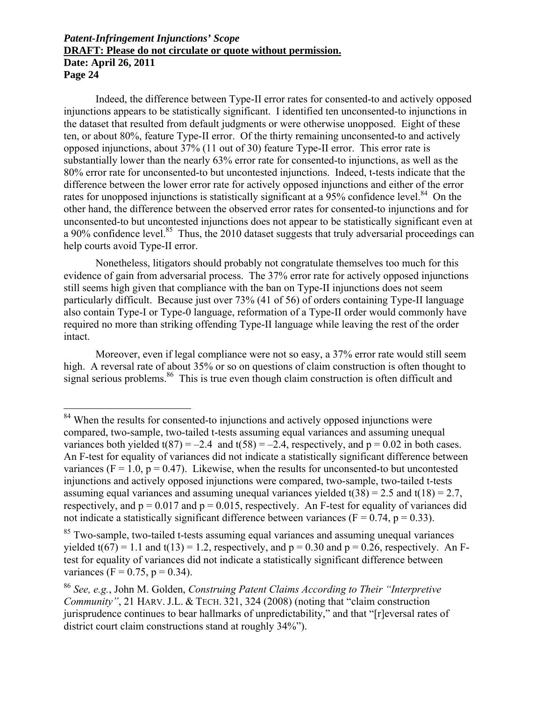$\overline{a}$ 

Indeed, the difference between Type-II error rates for consented-to and actively opposed injunctions appears to be statistically significant. I identified ten unconsented-to injunctions in the dataset that resulted from default judgments or were otherwise unopposed. Eight of these ten, or about 80%, feature Type-II error. Of the thirty remaining unconsented-to and actively opposed injunctions, about 37% (11 out of 30) feature Type-II error. This error rate is substantially lower than the nearly 63% error rate for consented-to injunctions, as well as the 80% error rate for unconsented-to but uncontested injunctions. Indeed, t-tests indicate that the difference between the lower error rate for actively opposed injunctions and either of the error rates for unopposed injunctions is statistically significant at a 95% confidence level. $84$  On the other hand, the difference between the observed error rates for consented-to injunctions and for unconsented-to but uncontested injunctions does not appear to be statistically significant even at a 90% confidence level.<sup>85</sup> Thus, the 2010 dataset suggests that truly adversarial proceedings can help courts avoid Type-II error.

Nonetheless, litigators should probably not congratulate themselves too much for this evidence of gain from adversarial process. The 37% error rate for actively opposed injunctions still seems high given that compliance with the ban on Type-II injunctions does not seem particularly difficult. Because just over 73% (41 of 56) of orders containing Type-II language also contain Type-I or Type-0 language, reformation of a Type-II order would commonly have required no more than striking offending Type-II language while leaving the rest of the order intact.

Moreover, even if legal compliance were not so easy, a 37% error rate would still seem high. A reversal rate of about 35% or so on questions of claim construction is often thought to signal serious problems.<sup>86</sup> This is true even though claim construction is often difficult and

 $84$  When the results for consented-to injunctions and actively opposed injunctions were compared, two-sample, two-tailed t-tests assuming equal variances and assuming unequal variances both yielded  $t(87) = -2.4$  and  $t(58) = -2.4$ , respectively, and  $p = 0.02$  in both cases. An F-test for equality of variances did not indicate a statistically significant difference between variances ( $F = 1.0$ ,  $p = 0.47$ ). Likewise, when the results for unconsented-to but uncontested injunctions and actively opposed injunctions were compared, two-sample, two-tailed t-tests assuming equal variances and assuming unequal variances yielded  $t(38) = 2.5$  and  $t(18) = 2.7$ , respectively, and  $p = 0.017$  and  $p = 0.015$ , respectively. An F-test for equality of variances did not indicate a statistically significant difference between variances ( $F = 0.74$ ,  $p = 0.33$ ).

<sup>&</sup>lt;sup>85</sup> Two-sample, two-tailed t-tests assuming equal variances and assuming unequal variances yielded  $t(67) = 1.1$  and  $t(13) = 1.2$ , respectively, and  $p = 0.30$  and  $p = 0.26$ , respectively. An Ftest for equality of variances did not indicate a statistically significant difference between variances (F = 0.75, p = 0.34).

<sup>86</sup> *See, e.g.*, John M. Golden, *Construing Patent Claims According to Their "Interpretive Community"*, 21 HARV. J.L. & TECH. 321, 324 (2008) (noting that "claim construction jurisprudence continues to bear hallmarks of unpredictability," and that "[r]eversal rates of district court claim constructions stand at roughly 34%").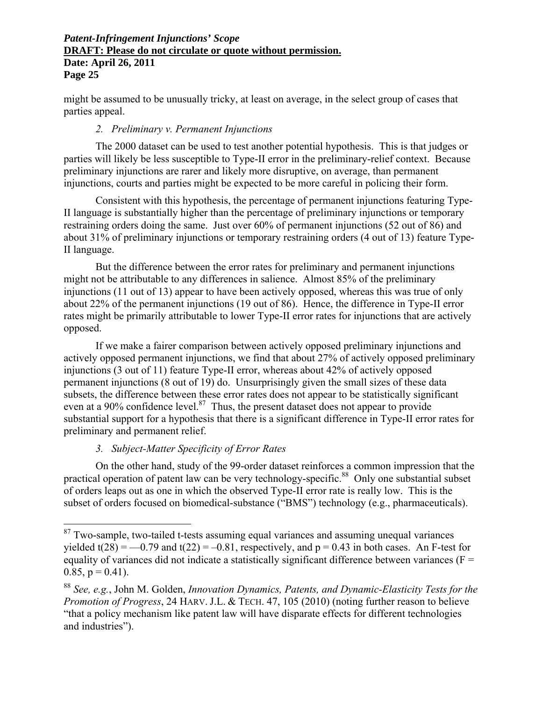might be assumed to be unusually tricky, at least on average, in the select group of cases that parties appeal.

### *2. Preliminary v. Permanent Injunctions*

The 2000 dataset can be used to test another potential hypothesis. This is that judges or parties will likely be less susceptible to Type-II error in the preliminary-relief context. Because preliminary injunctions are rarer and likely more disruptive, on average, than permanent injunctions, courts and parties might be expected to be more careful in policing their form.

Consistent with this hypothesis, the percentage of permanent injunctions featuring Type-II language is substantially higher than the percentage of preliminary injunctions or temporary restraining orders doing the same. Just over 60% of permanent injunctions (52 out of 86) and about 31% of preliminary injunctions or temporary restraining orders (4 out of 13) feature Type-II language.

But the difference between the error rates for preliminary and permanent injunctions might not be attributable to any differences in salience. Almost 85% of the preliminary injunctions (11 out of 13) appear to have been actively opposed, whereas this was true of only about 22% of the permanent injunctions (19 out of 86). Hence, the difference in Type-II error rates might be primarily attributable to lower Type-II error rates for injunctions that are actively opposed.

If we make a fairer comparison between actively opposed preliminary injunctions and actively opposed permanent injunctions, we find that about 27% of actively opposed preliminary injunctions (3 out of 11) feature Type-II error, whereas about 42% of actively opposed permanent injunctions (8 out of 19) do. Unsurprisingly given the small sizes of these data subsets, the difference between these error rates does not appear to be statistically significant even at a 90% confidence level. $87$  Thus, the present dataset does not appear to provide substantial support for a hypothesis that there is a significant difference in Type-II error rates for preliminary and permanent relief.

### *3. Subject-Matter Specificity of Error Rates*

 $\overline{a}$ 

On the other hand, study of the 99-order dataset reinforces a common impression that the practical operation of patent law can be very technology-specific.<sup>88</sup> Only one substantial subset of orders leaps out as one in which the observed Type-II error rate is really low. This is the subset of orders focused on biomedical-substance ("BMS") technology (e.g., pharmaceuticals).

 $87$  Two-sample, two-tailed t-tests assuming equal variances and assuming unequal variances yielded t(28) =  $-0.79$  and t(22) =  $-0.81$ , respectively, and p = 0.43 in both cases. An F-test for equality of variances did not indicate a statistically significant difference between variances ( $F =$  $0.85$ ,  $p = 0.41$ ).

<sup>88</sup> *See, e.g.*, John M. Golden, *Innovation Dynamics, Patents, and Dynamic-Elasticity Tests for the Promotion of Progress*, 24 HARV. J.L. & TECH. 47, 105 (2010) (noting further reason to believe "that a policy mechanism like patent law will have disparate effects for different technologies and industries").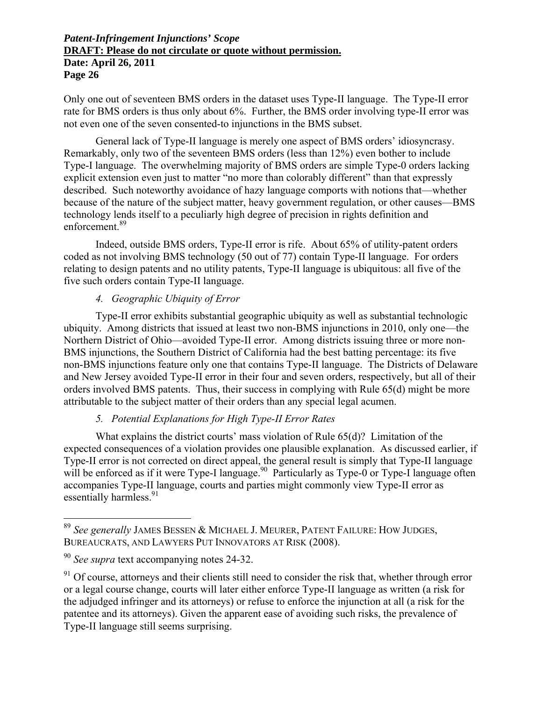Only one out of seventeen BMS orders in the dataset uses Type-II language. The Type-II error rate for BMS orders is thus only about 6%. Further, the BMS order involving type-II error was not even one of the seven consented-to injunctions in the BMS subset.

General lack of Type-II language is merely one aspect of BMS orders' idiosyncrasy. Remarkably, only two of the seventeen BMS orders (less than 12%) even bother to include Type-I language. The overwhelming majority of BMS orders are simple Type-0 orders lacking explicit extension even just to matter "no more than colorably different" than that expressly described. Such noteworthy avoidance of hazy language comports with notions that—whether because of the nature of the subject matter, heavy government regulation, or other causes—BMS technology lends itself to a peculiarly high degree of precision in rights definition and enforcement.89

Indeed, outside BMS orders, Type-II error is rife. About 65% of utility-patent orders coded as not involving BMS technology (50 out of 77) contain Type-II language. For orders relating to design patents and no utility patents, Type-II language is ubiquitous: all five of the five such orders contain Type-II language.

### *4. Geographic Ubiquity of Error*

Type-II error exhibits substantial geographic ubiquity as well as substantial technologic ubiquity. Among districts that issued at least two non-BMS injunctions in 2010, only one—the Northern District of Ohio—avoided Type-II error. Among districts issuing three or more non-BMS injunctions, the Southern District of California had the best batting percentage: its five non-BMS injunctions feature only one that contains Type-II language. The Districts of Delaware and New Jersey avoided Type-II error in their four and seven orders, respectively, but all of their orders involved BMS patents. Thus, their success in complying with Rule 65(d) might be more attributable to the subject matter of their orders than any special legal acumen.

## *5. Potential Explanations for High Type-II Error Rates*

What explains the district courts' mass violation of Rule 65(d)? Limitation of the expected consequences of a violation provides one plausible explanation. As discussed earlier, if Type-II error is not corrected on direct appeal, the general result is simply that Type-II language will be enforced as if it were Type-I language.<sup>90</sup> Particularly as Type-0 or Type-I language often accompanies Type-II language, courts and parties might commonly view Type-II error as essentially harmless.<sup>91</sup>

 $\overline{a}$ 

<sup>89</sup> *See generally* JAMES BESSEN & MICHAEL J. MEURER, PATENT FAILURE: HOW JUDGES, BUREAUCRATS, AND LAWYERS PUT INNOVATORS AT RISK (2008).

<sup>90</sup> *See supra* text accompanying notes 24-32.

<sup>&</sup>lt;sup>91</sup> Of course, attorneys and their clients still need to consider the risk that, whether through error or a legal course change, courts will later either enforce Type-II language as written (a risk for the adjudged infringer and its attorneys) or refuse to enforce the injunction at all (a risk for the patentee and its attorneys). Given the apparent ease of avoiding such risks, the prevalence of Type-II language still seems surprising.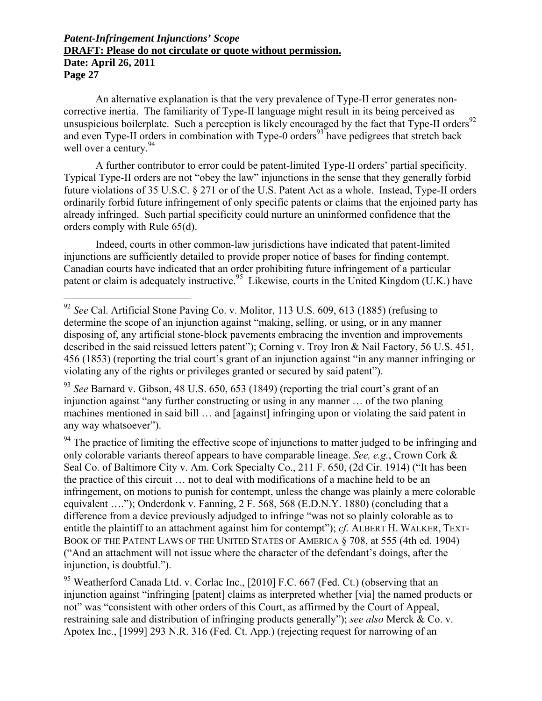$\overline{a}$ 

An alternative explanation is that the very prevalence of Type-II error generates noncorrective inertia. The familiarity of Type-II language might result in its being perceived as unsuspicious boilerplate. Such a perception is likely encouraged by the fact that Type-II orders<sup>92</sup> and even Type-II orders in combination with Type- $\overline{0}$  orders<sup>93</sup> have pedigrees that stretch back well over a century.<sup>94</sup>

A further contributor to error could be patent-limited Type-II orders' partial specificity. Typical Type-II orders are not "obey the law" injunctions in the sense that they generally forbid future violations of 35 U.S.C. § 271 or of the U.S. Patent Act as a whole. Instead, Type-II orders ordinarily forbid future infringement of only specific patents or claims that the enjoined party has already infringed. Such partial specificity could nurture an uninformed confidence that the orders comply with Rule 65(d).

Indeed, courts in other common-law jurisdictions have indicated that patent-limited injunctions are sufficiently detailed to provide proper notice of bases for finding contempt. Canadian courts have indicated that an order prohibiting future infringement of a particular patent or claim is adequately instructive.<sup>95</sup> Likewise, courts in the United Kingdom (U.K.) have

 $94$  The practice of limiting the effective scope of injunctions to matter judged to be infringing and only colorable variants thereof appears to have comparable lineage. *See, e.g.*, Crown Cork & Seal Co. of Baltimore City v. Am. Cork Specialty Co., 211 F. 650, (2d Cir. 1914) ("It has been the practice of this circuit … not to deal with modifications of a machine held to be an infringement, on motions to punish for contempt, unless the change was plainly a mere colorable equivalent …."); Onderdonk v. Fanning, 2 F. 568, 568 (E.D.N.Y. 1880) (concluding that a difference from a device previously adjudged to infringe "was not so plainly colorable as to entitle the plaintiff to an attachment against him for contempt"); *cf.* ALBERT H. WALKER, TEXT-BOOK OF THE PATENT LAWS OF THE UNITED STATES OF AMERICA § 708, at 555 (4th ed. 1904) ("And an attachment will not issue where the character of the defendant's doings, after the injunction, is doubtful.").

<sup>95</sup> Weatherford Canada Ltd. v. Corlac Inc., [2010] F.C. 667 (Fed. Ct.) (observing that an injunction against "infringing [patent] claims as interpreted whether [via] the named products or not" was "consistent with other orders of this Court, as affirmed by the Court of Appeal, restraining sale and distribution of infringing products generally"); *see also* Merck & Co. v. Apotex Inc., [1999] 293 N.R. 316 (Fed. Ct. App.) (rejecting request for narrowing of an

<sup>92</sup> *See* Cal. Artificial Stone Paving Co. v. Molitor, 113 U.S. 609, 613 (1885) (refusing to determine the scope of an injunction against "making, selling, or using, or in any manner disposing of, any artificial stone-block pavements embracing the invention and improvements described in the said reissued letters patent"); Corning v. Troy Iron & Nail Factory, 56 U.S. 451, 456 (1853) (reporting the trial court's grant of an injunction against "in any manner infringing or violating any of the rights or privileges granted or secured by said patent").

<sup>93</sup> *See* Barnard v. Gibson, 48 U.S. 650, 653 (1849) (reporting the trial court's grant of an injunction against "any further constructing or using in any manner … of the two planing machines mentioned in said bill … and [against] infringing upon or violating the said patent in any way whatsoever").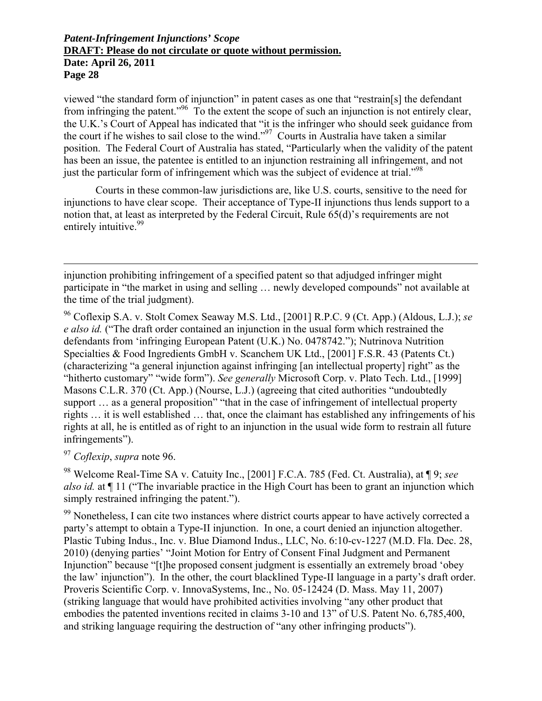viewed "the standard form of injunction" in patent cases as one that "restrain[s] the defendant from infringing the patent."96 To the extent the scope of such an injunction is not entirely clear, the U.K.'s Court of Appeal has indicated that "it is the infringer who should seek guidance from the court if he wishes to sail close to the wind."97 Courts in Australia have taken a similar position. The Federal Court of Australia has stated, "Particularly when the validity of the patent has been an issue, the patentee is entitled to an injunction restraining all infringement, and not just the particular form of infringement which was the subject of evidence at trial.<sup>"98</sup>

Courts in these common-law jurisdictions are, like U.S. courts, sensitive to the need for injunctions to have clear scope. Their acceptance of Type-II injunctions thus lends support to a notion that, at least as interpreted by the Federal Circuit, Rule 65(d)'s requirements are not entirely intuitive.<sup>99</sup>

injunction prohibiting infringement of a specified patent so that adjudged infringer might participate in "the market in using and selling … newly developed compounds" not available at the time of the trial judgment).

96 Coflexip S.A. v. Stolt Comex Seaway M.S. Ltd., [2001] R.P.C. 9 (Ct. App.) (Aldous, L.J.); *se e also id.* ("The draft order contained an injunction in the usual form which restrained the defendants from 'infringing European Patent (U.K.) No. 0478742."); Nutrinova Nutrition Specialties & Food Ingredients GmbH v. Scanchem UK Ltd., [2001] F.S.R. 43 (Patents Ct.) (characterizing "a general injunction against infringing [an intellectual property] right" as the "hitherto customary" "wide form"). *See generally* Microsoft Corp. v. Plato Tech. Ltd., [1999] Masons C.L.R. 370 (Ct. App.) (Nourse, L.J.) (agreeing that cited authorities "undoubtedly support ... as a general proposition" "that in the case of infringement of intellectual property rights … it is well established … that, once the claimant has established any infringements of his rights at all, he is entitled as of right to an injunction in the usual wide form to restrain all future infringements").

<sup>97</sup> *Coflexip*, *supra* note 96.

 $\overline{a}$ 

98 Welcome Real-Time SA v. Catuity Inc., [2001] F.C.A. 785 (Fed. Ct. Australia), at ¶ 9; *see also id.* at ¶ 11 ("The invariable practice in the High Court has been to grant an injunction which simply restrained infringing the patent.").

<sup>99</sup> Nonetheless, I can cite two instances where district courts appear to have actively corrected a party's attempt to obtain a Type-II injunction. In one, a court denied an injunction altogether. Plastic Tubing Indus., Inc. v. Blue Diamond Indus., LLC, No. 6:10-cv-1227 (M.D. Fla. Dec. 28, 2010) (denying parties' "Joint Motion for Entry of Consent Final Judgment and Permanent Injunction" because "[t]he proposed consent judgment is essentially an extremely broad 'obey the law' injunction"). In the other, the court blacklined Type-II language in a party's draft order. Proveris Scientific Corp. v. InnovaSystems, Inc., No. 05-12424 (D. Mass. May 11, 2007) (striking language that would have prohibited activities involving "any other product that embodies the patented inventions recited in claims 3-10 and 13" of U.S. Patent No. 6,785,400, and striking language requiring the destruction of "any other infringing products").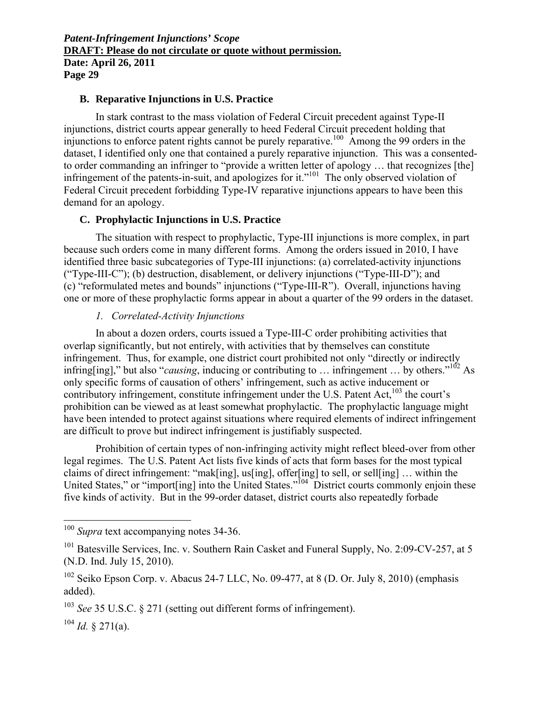### **B. Reparative Injunctions in U.S. Practice**

In stark contrast to the mass violation of Federal Circuit precedent against Type-II injunctions, district courts appear generally to heed Federal Circuit precedent holding that injunctions to enforce patent rights cannot be purely reparative.<sup>100</sup> Among the 99 orders in the dataset, I identified only one that contained a purely reparative injunction. This was a consentedto order commanding an infringer to "provide a written letter of apology … that recognizes [the] infringement of the patents-in-suit, and apologizes for it."<sup>101</sup> The only observed violation of Federal Circuit precedent forbidding Type-IV reparative injunctions appears to have been this demand for an apology.

#### **C. Prophylactic Injunctions in U.S. Practice**

The situation with respect to prophylactic, Type-III injunctions is more complex, in part because such orders come in many different forms. Among the orders issued in 2010, I have identified three basic subcategories of Type-III injunctions: (a) correlated-activity injunctions ("Type-III-C"); (b) destruction, disablement, or delivery injunctions ("Type-III-D"); and (c) "reformulated metes and bounds" injunctions ("Type-III-R"). Overall, injunctions having one or more of these prophylactic forms appear in about a quarter of the 99 orders in the dataset.

#### *1. Correlated-Activity Injunctions*

In about a dozen orders, courts issued a Type-III-C order prohibiting activities that overlap significantly, but not entirely, with activities that by themselves can constitute infringement. Thus, for example, one district court prohibited not only "directly or indirectly infring[ing]," but also "*causing*, inducing or contributing to ... infringement ... by others."<sup>102</sup> As only specific forms of causation of others' infringement, such as active inducement or contributory infringement, constitute infringement under the U.S. Patent Act.<sup>103</sup> the court's prohibition can be viewed as at least somewhat prophylactic. The prophylactic language might have been intended to protect against situations where required elements of indirect infringement are difficult to prove but indirect infringement is justifiably suspected.

Prohibition of certain types of non-infringing activity might reflect bleed-over from other legal regimes. The U.S. Patent Act lists five kinds of acts that form bases for the most typical claims of direct infringement: "mak[ing], us[ing], offer[ing] to sell, or sell[ing] … within the United States," or "import[ing] into the United States."<sup>104</sup> District courts commonly enjoin these five kinds of activity. But in the 99-order dataset, district courts also repeatedly forbade

1

<sup>100</sup> *Supra* text accompanying notes 34-36.

 $101$  Batesville Services, Inc. v. Southern Rain Casket and Funeral Supply, No. 2:09-CV-257, at 5 (N.D. Ind. July 15, 2010).

 $102$  Seiko Epson Corp. v. Abacus 24-7 LLC, No. 09-477, at 8 (D. Or. July 8, 2010) (emphasis added).

<sup>103</sup> *See* 35 U.S.C. § 271 (setting out different forms of infringement).

 $104$  *Id.* § 271(a).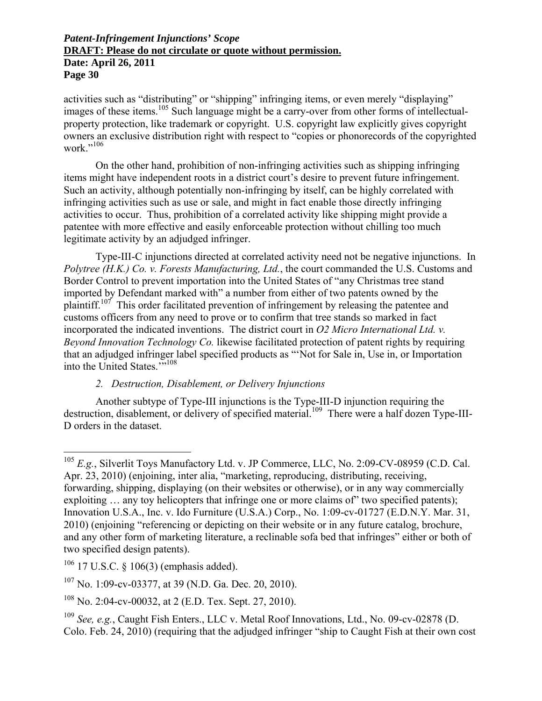activities such as "distributing" or "shipping" infringing items, or even merely "displaying" images of these items.<sup>105</sup> Such language might be a carry-over from other forms of intellectualproperty protection, like trademark or copyright. U.S. copyright law explicitly gives copyright owners an exclusive distribution right with respect to "copies or phonorecords of the copyrighted work $"$ <sup>106</sup>

On the other hand, prohibition of non-infringing activities such as shipping infringing items might have independent roots in a district court's desire to prevent future infringement. Such an activity, although potentially non-infringing by itself, can be highly correlated with infringing activities such as use or sale, and might in fact enable those directly infringing activities to occur. Thus, prohibition of a correlated activity like shipping might provide a patentee with more effective and easily enforceable protection without chilling too much legitimate activity by an adjudged infringer.

Type-III-C injunctions directed at correlated activity need not be negative injunctions. In *Polytree (H.K.) Co. v. Forests Manufacturing, Ltd.*, the court commanded the U.S. Customs and Border Control to prevent importation into the United States of "any Christmas tree stand imported by Defendant marked with" a number from either of two patents owned by the plaintiff.<sup>107</sup> This order facilitated prevention of infringement by releasing the patentee and customs officers from any need to prove or to confirm that tree stands so marked in fact incorporated the indicated inventions. The district court in *O2 Micro International Ltd. v. Beyond Innovation Technology Co.* likewise facilitated protection of patent rights by requiring that an adjudged infringer label specified products as "'Not for Sale in, Use in, or Importation into the United States."<sup>108</sup>

### *2. Destruction, Disablement, or Delivery Injunctions*

Another subtype of Type-III injunctions is the Type-III-D injunction requiring the destruction, disablement, or delivery of specified material.<sup>109</sup> There were a half dozen Type-III-D orders in the dataset.

 $\overline{a}$ 

<sup>105</sup> *E.g.*, Silverlit Toys Manufactory Ltd. v. JP Commerce, LLC, No. 2:09-CV-08959 (C.D. Cal. Apr. 23, 2010) (enjoining, inter alia, "marketing, reproducing, distributing, receiving, forwarding, shipping, displaying (on their websites or otherwise), or in any way commercially exploiting ... any toy helicopters that infringe one or more claims of" two specified patents); Innovation U.S.A., Inc. v. Ido Furniture (U.S.A.) Corp., No. 1:09-cv-01727 (E.D.N.Y. Mar. 31, 2010) (enjoining "referencing or depicting on their website or in any future catalog, brochure, and any other form of marketing literature, a reclinable sofa bed that infringes" either or both of two specified design patents).

<sup>&</sup>lt;sup>106</sup> 17 U.S.C. § 106(3) (emphasis added).

<sup>107</sup> No. 1:09-cv-03377, at 39 (N.D. Ga. Dec. 20, 2010).

<sup>108</sup> No. 2:04-cv-00032, at 2 (E.D. Tex. Sept. 27, 2010).

<sup>109</sup> *See, e.g.*, Caught Fish Enters., LLC v. Metal Roof Innovations, Ltd., No. 09-cv-02878 (D. Colo. Feb. 24, 2010) (requiring that the adjudged infringer "ship to Caught Fish at their own cost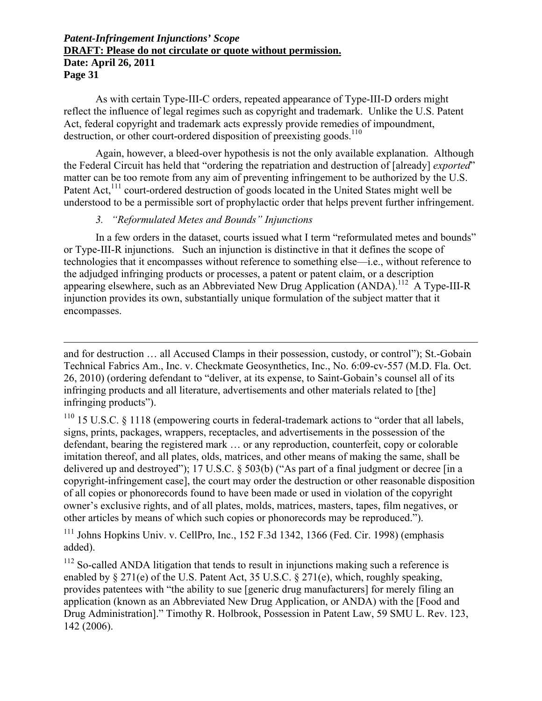**Page 31** 

1

As with certain Type-III-C orders, repeated appearance of Type-III-D orders might reflect the influence of legal regimes such as copyright and trademark. Unlike the U.S. Patent Act, federal copyright and trademark acts expressly provide remedies of impoundment, destruction, or other court-ordered disposition of preexisting goods.<sup>110</sup>

Again, however, a bleed-over hypothesis is not the only available explanation. Although the Federal Circuit has held that "ordering the repatriation and destruction of [already] *exported*" matter can be too remote from any aim of preventing infringement to be authorized by the U.S. Patent Act,<sup>111</sup> court-ordered destruction of goods located in the United States might well be understood to be a permissible sort of prophylactic order that helps prevent further infringement.

### *3. "Reformulated Metes and Bounds" Injunctions*

In a few orders in the dataset, courts issued what I term "reformulated metes and bounds" or Type-III-R injunctions. Such an injunction is distinctive in that it defines the scope of technologies that it encompasses without reference to something else—i.e., without reference to the adjudged infringing products or processes, a patent or patent claim, or a description appearing elsewhere, such as an Abbreviated New Drug Application  $(ANDA)$ <sup>112</sup> A Type-III-R injunction provides its own, substantially unique formulation of the subject matter that it encompasses.

and for destruction … all Accused Clamps in their possession, custody, or control"); St.-Gobain Technical Fabrics Am., Inc. v. Checkmate Geosynthetics, Inc., No. 6:09-cv-557 (M.D. Fla. Oct. 26, 2010) (ordering defendant to "deliver, at its expense, to Saint-Gobain's counsel all of its infringing products and all literature, advertisements and other materials related to [the] infringing products").

 $110$  15 U.S.C. § 1118 (empowering courts in federal-trademark actions to "order that all labels, signs, prints, packages, wrappers, receptacles, and advertisements in the possession of the defendant, bearing the registered mark … or any reproduction, counterfeit, copy or colorable imitation thereof, and all plates, olds, matrices, and other means of making the same, shall be delivered up and destroyed"); 17 U.S.C. § 503(b) ("As part of a final judgment or decree [in a copyright-infringement case], the court may order the destruction or other reasonable disposition of all copies or phonorecords found to have been made or used in violation of the copyright owner's exclusive rights, and of all plates, molds, matrices, masters, tapes, film negatives, or other articles by means of which such copies or phonorecords may be reproduced.").

<sup>111</sup> Johns Hopkins Univ. v. CellPro, Inc., 152 F.3d 1342, 1366 (Fed. Cir. 1998) (emphasis added).

 $112$  So-called ANDA litigation that tends to result in injunctions making such a reference is enabled by § 271(e) of the U.S. Patent Act, 35 U.S.C. § 271(e), which, roughly speaking, provides patentees with "the ability to sue [generic drug manufacturers] for merely filing an application (known as an Abbreviated New Drug Application, or ANDA) with the [Food and Drug Administration]." Timothy R. Holbrook, Possession in Patent Law, 59 SMU L. Rev. 123, 142 (2006).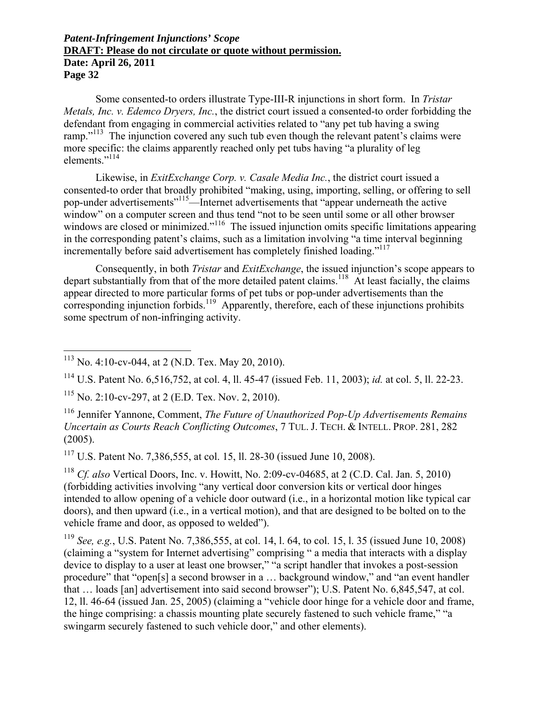Some consented-to orders illustrate Type-III-R injunctions in short form. In *Tristar Metals, Inc. v. Edemco Dryers, Inc.*, the district court issued a consented-to order forbidding the defendant from engaging in commercial activities related to "any pet tub having a swing ramp."<sup>113</sup> The injunction covered any such tub even though the relevant patent's claims were more specific: the claims apparently reached only pet tubs having "a plurality of leg elements."114

Likewise, in *ExitExchange Corp. v. Casale Media Inc.*, the district court issued a consented-to order that broadly prohibited "making, using, importing, selling, or offering to sell pop-under advertisements"115—Internet advertisements that "appear underneath the active window" on a computer screen and thus tend "not to be seen until some or all other browser windows are closed or minimized."<sup>116</sup> The issued injunction omits specific limitations appearing in the corresponding patent's claims, such as a limitation involving "a time interval beginning incrementally before said advertisement has completely finished loading."<sup>117</sup>

Consequently, in both *Tristar* and *ExitExchange*, the issued injunction's scope appears to depart substantially from that of the more detailed patent claims.<sup>118</sup> At least facially, the claims appear directed to more particular forms of pet tubs or pop-under advertisements than the corresponding injunction forbids.<sup>119</sup> Apparently, therefore, each of these injunctions prohibits some spectrum of non-infringing activity.

 $\overline{a}$ 

116 Jennifer Yannone, Comment, *The Future of Unauthorized Pop-Up Advertisements Remains Uncertain as Courts Reach Conflicting Outcomes*, 7 TUL. J. TECH. & INTELL. PROP. 281, 282 (2005).

117 U.S. Patent No. 7,386,555, at col. 15, ll. 28-30 (issued June 10, 2008).

<sup>118</sup> *Cf. also* Vertical Doors, Inc. v. Howitt, No. 2:09-cv-04685, at 2 (C.D. Cal. Jan. 5, 2010) (forbidding activities involving "any vertical door conversion kits or vertical door hinges intended to allow opening of a vehicle door outward (i.e., in a horizontal motion like typical car doors), and then upward (i.e., in a vertical motion), and that are designed to be bolted on to the vehicle frame and door, as opposed to welded").

<sup>119</sup> *See, e.g.*, U.S. Patent No. 7,386,555, at col. 14, l. 64, to col. 15, l. 35 (issued June 10, 2008) (claiming a "system for Internet advertising" comprising " a media that interacts with a display device to display to a user at least one browser," "a script handler that invokes a post-session procedure" that "open[s] a second browser in a … background window," and "an event handler that … loads [an] advertisement into said second browser"); U.S. Patent No. 6,845,547, at col. 12, ll. 46-64 (issued Jan. 25, 2005) (claiming a "vehicle door hinge for a vehicle door and frame, the hinge comprising: a chassis mounting plate securely fastened to such vehicle frame," "a swingarm securely fastened to such vehicle door," and other elements).

 $113$  No. 4:10-cv-044, at 2 (N.D. Tex. May 20, 2010).

<sup>114</sup> U.S. Patent No. 6,516,752, at col. 4, ll. 45-47 (issued Feb. 11, 2003); *id.* at col. 5, ll. 22-23.

<sup>115</sup> No. 2:10-cv-297, at 2 (E.D. Tex. Nov. 2, 2010).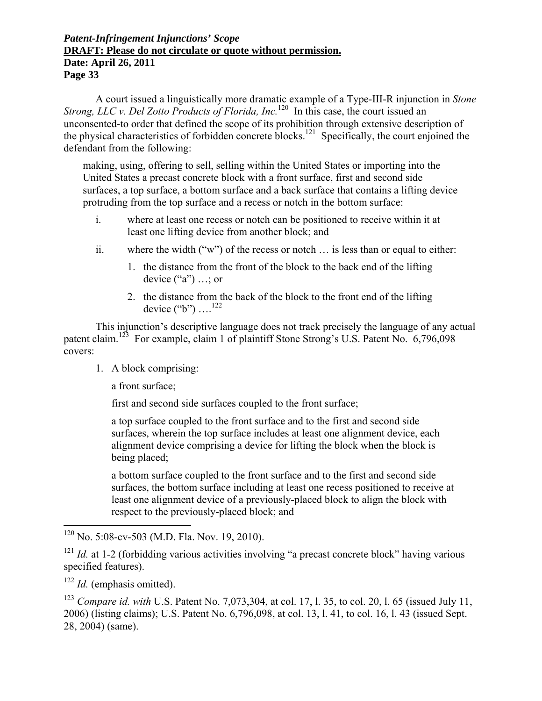A court issued a linguistically more dramatic example of a Type-III-R injunction in *Stone Strong, LLC v. Del Zotto Products of Florida, Inc.*<sup>120</sup> In this case, the court issued an unconsented-to order that defined the scope of its prohibition through extensive description of the physical characteristics of forbidden concrete blocks.<sup>121</sup> Specifically, the court enjoined the defendant from the following:

making, using, offering to sell, selling within the United States or importing into the United States a precast concrete block with a front surface, first and second side surfaces, a top surface, a bottom surface and a back surface that contains a lifting device protruding from the top surface and a recess or notch in the bottom surface:

- i. where at least one recess or notch can be positioned to receive within it at least one lifting device from another block; and
- ii. where the width ("w") of the recess or notch … is less than or equal to either:
	- 1. the distance from the front of the block to the back end of the lifting device  $("a") \dots$ ; or
	- 2. the distance from the back of the block to the front end of the lifting device  $("b")$  ....<sup>122</sup>

This injunction's descriptive language does not track precisely the language of any actual patent claim.<sup>123</sup> For example, claim 1 of plaintiff Stone Strong's U.S. Patent No. 6,796,098 covers:

1. A block comprising:

a front surface;

first and second side surfaces coupled to the front surface;

a top surface coupled to the front surface and to the first and second side surfaces, wherein the top surface includes at least one alignment device, each alignment device comprising a device for lifting the block when the block is being placed;

a bottom surface coupled to the front surface and to the first and second side surfaces, the bottom surface including at least one recess positioned to receive at least one alignment device of a previously-placed block to align the block with respect to the previously-placed block; and

 $\overline{a}$ 

 $120$  No. 5:08-cv-503 (M.D. Fla. Nov. 19, 2010).

<sup>&</sup>lt;sup>121</sup> *Id.* at 1-2 (forbidding various activities involving "a precast concrete block" having various specified features).

<sup>122</sup> *Id.* (emphasis omitted).

<sup>123</sup> *Compare id. with* U.S. Patent No. 7,073,304, at col. 17, l. 35, to col. 20, l. 65 (issued July 11, 2006) (listing claims); U.S. Patent No. 6,796,098, at col. 13, l. 41, to col. 16, l. 43 (issued Sept. 28, 2004) (same).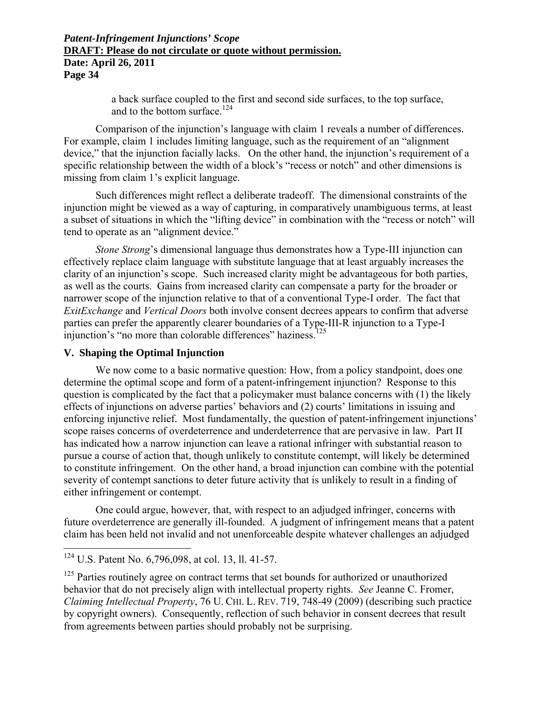a back surface coupled to the first and second side surfaces, to the top surface, and to the bottom surface.<sup>124</sup>

Comparison of the injunction's language with claim 1 reveals a number of differences. For example, claim 1 includes limiting language, such as the requirement of an "alignment device," that the injunction facially lacks. On the other hand, the injunction's requirement of a specific relationship between the width of a block's "recess or notch" and other dimensions is missing from claim 1's explicit language.

Such differences might reflect a deliberate tradeoff. The dimensional constraints of the injunction might be viewed as a way of capturing, in comparatively unambiguous terms, at least a subset of situations in which the "lifting device" in combination with the "recess or notch" will tend to operate as an "alignment device."

*Stone Strong*'s dimensional language thus demonstrates how a Type-III injunction can effectively replace claim language with substitute language that at least arguably increases the clarity of an injunction's scope. Such increased clarity might be advantageous for both parties, as well as the courts. Gains from increased clarity can compensate a party for the broader or narrower scope of the injunction relative to that of a conventional Type-I order. The fact that *ExitExchange* and *Vertical Doors* both involve consent decrees appears to confirm that adverse parties can prefer the apparently clearer boundaries of a Type-III-R injunction to a Type-I injunction's "no more than colorable differences" haziness.<sup>125</sup>

### **V. Shaping the Optimal Injunction**

We now come to a basic normative question: How, from a policy standpoint, does one determine the optimal scope and form of a patent-infringement injunction? Response to this question is complicated by the fact that a policymaker must balance concerns with (1) the likely effects of injunctions on adverse parties' behaviors and (2) courts' limitations in issuing and enforcing injunctive relief. Most fundamentally, the question of patent-infringement injunctions' scope raises concerns of overdeterrence and underdeterrence that are pervasive in law. Part II has indicated how a narrow injunction can leave a rational infringer with substantial reason to pursue a course of action that, though unlikely to constitute contempt, will likely be determined to constitute infringement. On the other hand, a broad injunction can combine with the potential severity of contempt sanctions to deter future activity that is unlikely to result in a finding of either infringement or contempt.

One could argue, however, that, with respect to an adjudged infringer, concerns with future overdeterrence are generally ill-founded. A judgment of infringement means that a patent claim has been held not invalid and not unenforceable despite whatever challenges an adjudged

<u>.</u>

 $124$  U.S. Patent No. 6,796,098, at col. 13, ll. 41-57.

<sup>&</sup>lt;sup>125</sup> Parties routinely agree on contract terms that set bounds for authorized or unauthorized behavior that do not precisely align with intellectual property rights. *See* Jeanne C. Fromer, *Claiming Intellectual Property*, 76 U. CHI. L. REV. 719, 748-49 (2009) (describing such practice by copyright owners). Consequently, reflection of such behavior in consent decrees that result from agreements between parties should probably not be surprising.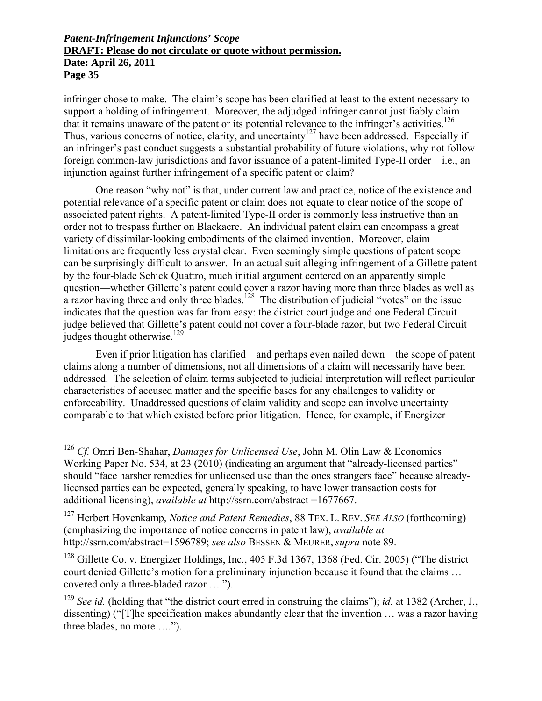infringer chose to make. The claim's scope has been clarified at least to the extent necessary to support a holding of infringement. Moreover, the adjudged infringer cannot justifiably claim that it remains unaware of the patent or its potential relevance to the infringer's activities.<sup>126</sup> Thus, various concerns of notice, clarity, and uncertainty<sup>127</sup> have been addressed. Especially if an infringer's past conduct suggests a substantial probability of future violations, why not follow foreign common-law jurisdictions and favor issuance of a patent-limited Type-II order—i.e., an injunction against further infringement of a specific patent or claim?

One reason "why not" is that, under current law and practice, notice of the existence and potential relevance of a specific patent or claim does not equate to clear notice of the scope of associated patent rights. A patent-limited Type-II order is commonly less instructive than an order not to trespass further on Blackacre. An individual patent claim can encompass a great variety of dissimilar-looking embodiments of the claimed invention. Moreover, claim limitations are frequently less crystal clear. Even seemingly simple questions of patent scope can be surprisingly difficult to answer. In an actual suit alleging infringement of a Gillette patent by the four-blade Schick Quattro, much initial argument centered on an apparently simple question—whether Gillette's patent could cover a razor having more than three blades as well as a razor having three and only three blades.<sup>128</sup> The distribution of judicial "votes" on the issue indicates that the question was far from easy: the district court judge and one Federal Circuit judge believed that Gillette's patent could not cover a four-blade razor, but two Federal Circuit judges thought otherwise. $^{129}$ 

Even if prior litigation has clarified—and perhaps even nailed down—the scope of patent claims along a number of dimensions, not all dimensions of a claim will necessarily have been addressed. The selection of claim terms subjected to judicial interpretation will reflect particular characteristics of accused matter and the specific bases for any challenges to validity or enforceability. Unaddressed questions of claim validity and scope can involve uncertainty comparable to that which existed before prior litigation. Hence, for example, if Energizer

 $\overline{a}$ 

<sup>126</sup> *Cf.* Omri Ben-Shahar, *Damages for Unlicensed Use*, John M. Olin Law & Economics Working Paper No. 534, at 23 (2010) (indicating an argument that "already-licensed parties" should "face harsher remedies for unlicensed use than the ones strangers face" because alreadylicensed parties can be expected, generally speaking, to have lower transaction costs for additional licensing), *available at* http://ssrn.com/abstract =1677667.

<sup>127</sup> Herbert Hovenkamp, *Notice and Patent Remedies*, 88 TEX. L. REV. *SEE ALSO* (forthcoming) (emphasizing the importance of notice concerns in patent law), *available at* http://ssrn.com/abstract=1596789; *see also* BESSEN & MEURER, *supra* note 89.

<sup>&</sup>lt;sup>128</sup> Gillette Co. v. Energizer Holdings, Inc., 405 F.3d 1367, 1368 (Fed. Cir. 2005) ("The district court denied Gillette's motion for a preliminary injunction because it found that the claims … covered only a three-bladed razor ….").

<sup>129</sup> *See id.* (holding that "the district court erred in construing the claims"); *id.* at 1382 (Archer, J., dissenting) ("[T]he specification makes abundantly clear that the invention … was a razor having three blades, no more ….").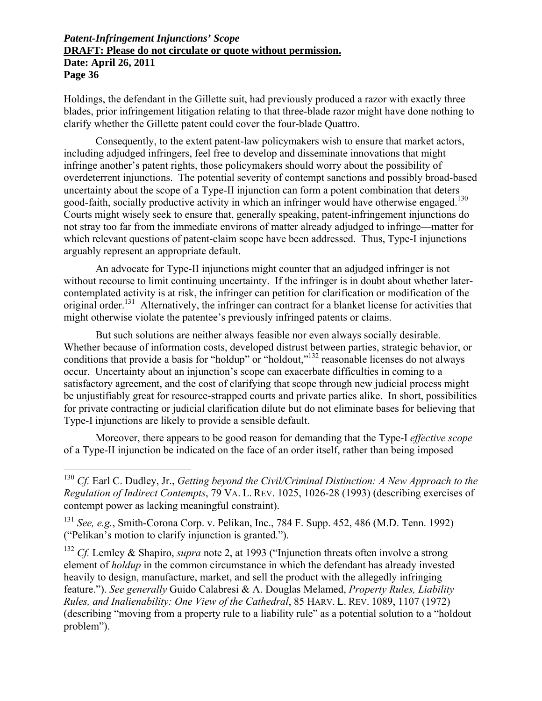Holdings, the defendant in the Gillette suit, had previously produced a razor with exactly three blades, prior infringement litigation relating to that three-blade razor might have done nothing to clarify whether the Gillette patent could cover the four-blade Quattro.

Consequently, to the extent patent-law policymakers wish to ensure that market actors, including adjudged infringers, feel free to develop and disseminate innovations that might infringe another's patent rights, those policymakers should worry about the possibility of overdeterrent injunctions. The potential severity of contempt sanctions and possibly broad-based uncertainty about the scope of a Type-II injunction can form a potent combination that deters good-faith, socially productive activity in which an infringer would have otherwise engaged.<sup>130</sup> Courts might wisely seek to ensure that, generally speaking, patent-infringement injunctions do not stray too far from the immediate environs of matter already adjudged to infringe—matter for which relevant questions of patent-claim scope have been addressed. Thus, Type-I injunctions arguably represent an appropriate default.

An advocate for Type-II injunctions might counter that an adjudged infringer is not without recourse to limit continuing uncertainty. If the infringer is in doubt about whether latercontemplated activity is at risk, the infringer can petition for clarification or modification of the original order.<sup>131</sup> Alternatively, the infringer can contract for a blanket license for activities that might otherwise violate the patentee's previously infringed patents or claims.

But such solutions are neither always feasible nor even always socially desirable. Whether because of information costs, developed distrust between parties, strategic behavior, or conditions that provide a basis for "holdup" or "holdout,"<sup>132</sup> reasonable licenses do not always occur. Uncertainty about an injunction's scope can exacerbate difficulties in coming to a satisfactory agreement, and the cost of clarifying that scope through new judicial process might be unjustifiably great for resource-strapped courts and private parties alike. In short, possibilities for private contracting or judicial clarification dilute but do not eliminate bases for believing that Type-I injunctions are likely to provide a sensible default.

Moreover, there appears to be good reason for demanding that the Type-I *effective scope* of a Type-II injunction be indicated on the face of an order itself, rather than being imposed

1

<sup>130</sup> *Cf.* Earl C. Dudley, Jr., *Getting beyond the Civil/Criminal Distinction: A New Approach to the Regulation of Indirect Contempts*, 79 VA. L. REV. 1025, 1026-28 (1993) (describing exercises of contempt power as lacking meaningful constraint).

<sup>131</sup> *See, e.g.*, Smith-Corona Corp. v. Pelikan, Inc., 784 F. Supp. 452, 486 (M.D. Tenn. 1992) ("Pelikan's motion to clarify injunction is granted.").

<sup>&</sup>lt;sup>132</sup> *Cf.* Lemley & Shapiro, *supra* note 2, at 1993 ("Injunction threats often involve a strong element of *holdup* in the common circumstance in which the defendant has already invested heavily to design, manufacture, market, and sell the product with the allegedly infringing feature."). *See generally* Guido Calabresi & A. Douglas Melamed, *Property Rules, Liability Rules, and Inalienability: One View of the Cathedral*, 85 HARV. L. REV. 1089, 1107 (1972) (describing "moving from a property rule to a liability rule" as a potential solution to a "holdout problem").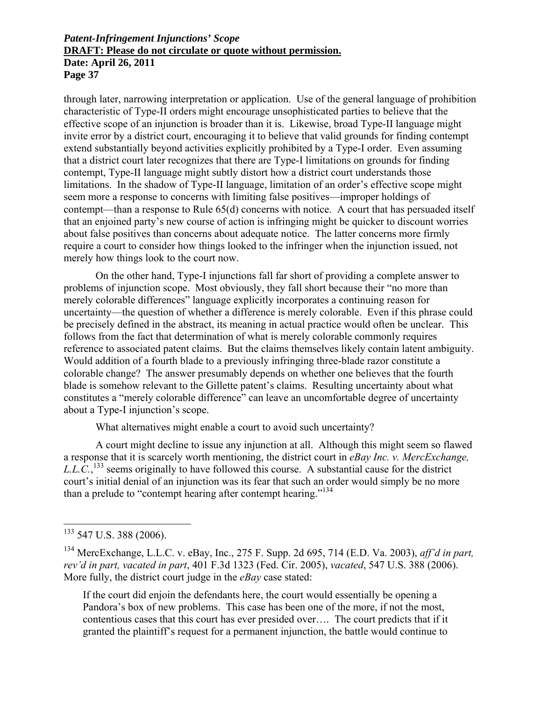through later, narrowing interpretation or application. Use of the general language of prohibition characteristic of Type-II orders might encourage unsophisticated parties to believe that the effective scope of an injunction is broader than it is. Likewise, broad Type-II language might invite error by a district court, encouraging it to believe that valid grounds for finding contempt extend substantially beyond activities explicitly prohibited by a Type-I order. Even assuming that a district court later recognizes that there are Type-I limitations on grounds for finding contempt, Type-II language might subtly distort how a district court understands those limitations. In the shadow of Type-II language, limitation of an order's effective scope might seem more a response to concerns with limiting false positives—improper holdings of contempt—than a response to Rule 65(d) concerns with notice. A court that has persuaded itself that an enjoined party's new course of action is infringing might be quicker to discount worries about false positives than concerns about adequate notice. The latter concerns more firmly require a court to consider how things looked to the infringer when the injunction issued, not merely how things look to the court now.

On the other hand, Type-I injunctions fall far short of providing a complete answer to problems of injunction scope. Most obviously, they fall short because their "no more than merely colorable differences" language explicitly incorporates a continuing reason for uncertainty—the question of whether a difference is merely colorable. Even if this phrase could be precisely defined in the abstract, its meaning in actual practice would often be unclear. This follows from the fact that determination of what is merely colorable commonly requires reference to associated patent claims. But the claims themselves likely contain latent ambiguity. Would addition of a fourth blade to a previously infringing three-blade razor constitute a colorable change? The answer presumably depends on whether one believes that the fourth blade is somehow relevant to the Gillette patent's claims. Resulting uncertainty about what constitutes a "merely colorable difference" can leave an uncomfortable degree of uncertainty about a Type-I injunction's scope.

What alternatives might enable a court to avoid such uncertainty?

A court might decline to issue any injunction at all. Although this might seem so flawed a response that it is scarcely worth mentioning, the district court in *eBay Inc. v. MercExchange,*   $LL.C.,<sup>133</sup>$  seems originally to have followed this course. A substantial cause for the district court's initial denial of an injunction was its fear that such an order would simply be no more than a prelude to "contempt hearing after contempt hearing."<sup>134</sup>

 $\overline{a}$ 

If the court did enjoin the defendants here, the court would essentially be opening a Pandora's box of new problems. This case has been one of the more, if not the most, contentious cases that this court has ever presided over…. The court predicts that if it granted the plaintiff's request for a permanent injunction, the battle would continue to

 $133$  547 U.S. 388 (2006).

<sup>134</sup> MercExchange, L.L.C. v. eBay, Inc., 275 F. Supp. 2d 695, 714 (E.D. Va. 2003), *aff'd in part, rev'd in part, vacated in part*, 401 F.3d 1323 (Fed. Cir. 2005), *vacated*, 547 U.S. 388 (2006). More fully, the district court judge in the *eBay* case stated: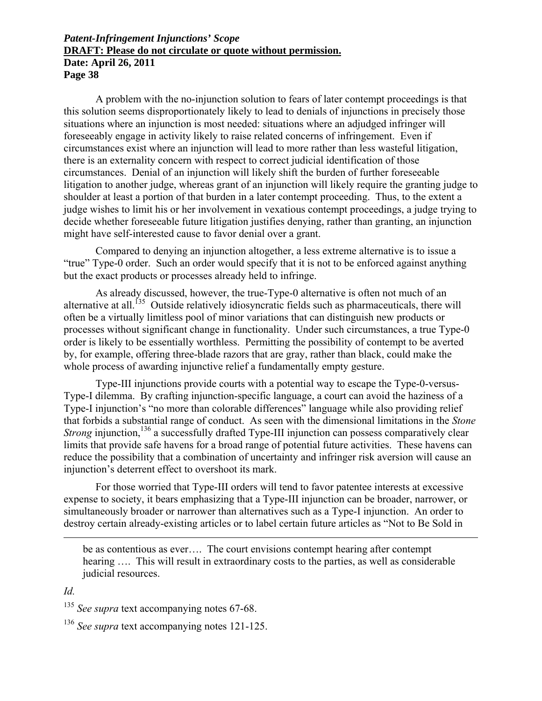**Page 38** 

A problem with the no-injunction solution to fears of later contempt proceedings is that this solution seems disproportionately likely to lead to denials of injunctions in precisely those situations where an injunction is most needed: situations where an adjudged infringer will foreseeably engage in activity likely to raise related concerns of infringement. Even if circumstances exist where an injunction will lead to more rather than less wasteful litigation, there is an externality concern with respect to correct judicial identification of those circumstances. Denial of an injunction will likely shift the burden of further foreseeable litigation to another judge, whereas grant of an injunction will likely require the granting judge to shoulder at least a portion of that burden in a later contempt proceeding. Thus, to the extent a judge wishes to limit his or her involvement in vexatious contempt proceedings, a judge trying to decide whether foreseeable future litigation justifies denying, rather than granting, an injunction might have self-interested cause to favor denial over a grant.

Compared to denying an injunction altogether, a less extreme alternative is to issue a "true" Type-0 order. Such an order would specify that it is not to be enforced against anything but the exact products or processes already held to infringe.

As already discussed, however, the true-Type-0 alternative is often not much of an alternative at all.<sup>135</sup> Outside relatively idiosyncratic fields such as pharmaceuticals, there will often be a virtually limitless pool of minor variations that can distinguish new products or processes without significant change in functionality. Under such circumstances, a true Type-0 order is likely to be essentially worthless. Permitting the possibility of contempt to be averted by, for example, offering three-blade razors that are gray, rather than black, could make the whole process of awarding injunctive relief a fundamentally empty gesture.

Type-III injunctions provide courts with a potential way to escape the Type-0-versus-Type-I dilemma. By crafting injunction-specific language, a court can avoid the haziness of a Type-I injunction's "no more than colorable differences" language while also providing relief that forbids a substantial range of conduct. As seen with the dimensional limitations in the *Stone Strong* injunction,<sup>136</sup> a successfully drafted Type-III injunction can possess comparatively clear limits that provide safe havens for a broad range of potential future activities. These havens can reduce the possibility that a combination of uncertainty and infringer risk aversion will cause an injunction's deterrent effect to overshoot its mark.

For those worried that Type-III orders will tend to favor patentee interests at excessive expense to society, it bears emphasizing that a Type-III injunction can be broader, narrower, or simultaneously broader or narrower than alternatives such as a Type-I injunction. An order to destroy certain already-existing articles or to label certain future articles as "Not to Be Sold in

be as contentious as ever…. The court envisions contempt hearing after contempt hearing .... This will result in extraordinary costs to the parties, as well as considerable judicial resources.

# *Id.*

<u>.</u>

<sup>136</sup> *See supra* text accompanying notes 121-125.

<sup>&</sup>lt;sup>135</sup> *See supra* text accompanying notes 67-68.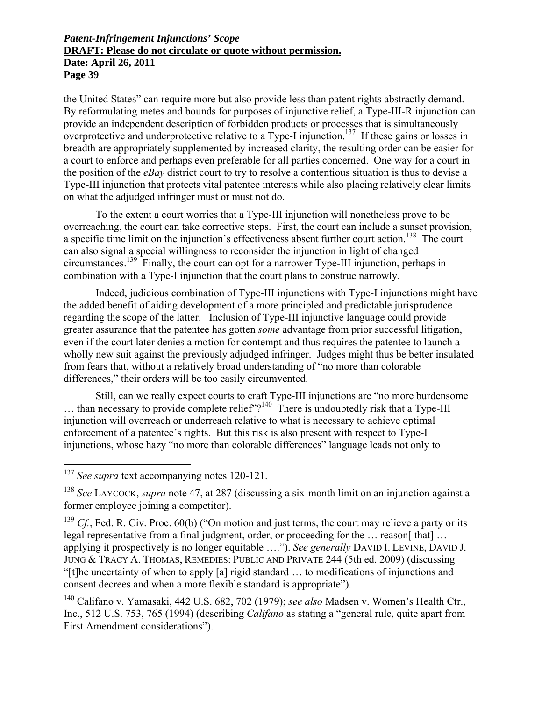the United States" can require more but also provide less than patent rights abstractly demand. By reformulating metes and bounds for purposes of injunctive relief, a Type-III-R injunction can provide an independent description of forbidden products or processes that is simultaneously overprotective and underprotective relative to a Type-I injunction.<sup>137</sup> If these gains or losses in breadth are appropriately supplemented by increased clarity, the resulting order can be easier for a court to enforce and perhaps even preferable for all parties concerned. One way for a court in the position of the *eBay* district court to try to resolve a contentious situation is thus to devise a Type-III injunction that protects vital patentee interests while also placing relatively clear limits on what the adjudged infringer must or must not do.

To the extent a court worries that a Type-III injunction will nonetheless prove to be overreaching, the court can take corrective steps. First, the court can include a sunset provision, a specific time limit on the injunction's effectiveness absent further court action.<sup>138</sup> The court can also signal a special willingness to reconsider the injunction in light of changed circumstances.139 Finally, the court can opt for a narrower Type-III injunction, perhaps in combination with a Type-I injunction that the court plans to construe narrowly.

Indeed, judicious combination of Type-III injunctions with Type-I injunctions might have the added benefit of aiding development of a more principled and predictable jurisprudence regarding the scope of the latter. Inclusion of Type-III injunctive language could provide greater assurance that the patentee has gotten *some* advantage from prior successful litigation, even if the court later denies a motion for contempt and thus requires the patentee to launch a wholly new suit against the previously adjudged infringer. Judges might thus be better insulated from fears that, without a relatively broad understanding of "no more than colorable differences," their orders will be too easily circumvented.

Still, can we really expect courts to craft Type-III injunctions are "no more burdensome  $\ldots$  than necessary to provide complete relief"?<sup>140</sup> There is undoubtedly risk that a Type-III injunction will overreach or underreach relative to what is necessary to achieve optimal enforcement of a patentee's rights. But this risk is also present with respect to Type-I injunctions, whose hazy "no more than colorable differences" language leads not only to

1

<sup>&</sup>lt;sup>137</sup> See supra text accompanying notes 120-121.

<sup>138</sup> *See* LAYCOCK, *supra* note 47, at 287 (discussing a six-month limit on an injunction against a former employee joining a competitor).

<sup>&</sup>lt;sup>139</sup> *Cf.*, Fed. R. Civ. Proc.  $60(b)$  ("On motion and just terms, the court may relieve a party or its legal representative from a final judgment, order, or proceeding for the ... reason[ that] ... applying it prospectively is no longer equitable …."). *See generally* DAVID I. LEVINE, DAVID J. JUNG & TRACY A. THOMAS, REMEDIES: PUBLIC AND PRIVATE 244 (5th ed. 2009) (discussing "[t]he uncertainty of when to apply [a] rigid standard … to modifications of injunctions and consent decrees and when a more flexible standard is appropriate").

<sup>140</sup> Califano v. Yamasaki, 442 U.S. 682, 702 (1979); *see also* Madsen v. Women's Health Ctr., Inc., 512 U.S. 753, 765 (1994) (describing *Califano* as stating a "general rule, quite apart from First Amendment considerations").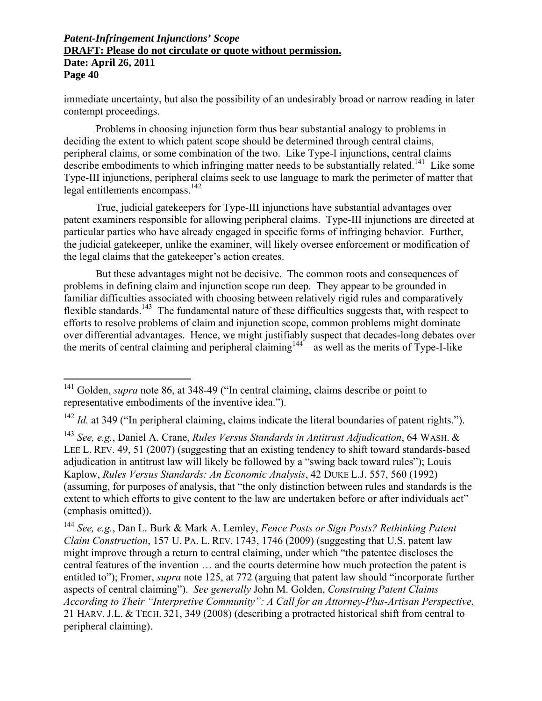immediate uncertainty, but also the possibility of an undesirably broad or narrow reading in later contempt proceedings.

Problems in choosing injunction form thus bear substantial analogy to problems in deciding the extent to which patent scope should be determined through central claims, peripheral claims, or some combination of the two. Like Type-I injunctions, central claims describe embodiments to which infringing matter needs to be substantially related.<sup>141</sup> Like some Type-III injunctions, peripheral claims seek to use language to mark the perimeter of matter that legal entitlements encompass.142

True, judicial gatekeepers for Type-III injunctions have substantial advantages over patent examiners responsible for allowing peripheral claims. Type-III injunctions are directed at particular parties who have already engaged in specific forms of infringing behavior. Further, the judicial gatekeeper, unlike the examiner, will likely oversee enforcement or modification of the legal claims that the gatekeeper's action creates.

But these advantages might not be decisive. The common roots and consequences of problems in defining claim and injunction scope run deep. They appear to be grounded in familiar difficulties associated with choosing between relatively rigid rules and comparatively flexible standards.<sup>143</sup> The fundamental nature of these difficulties suggests that, with respect to efforts to resolve problems of claim and injunction scope, common problems might dominate over differential advantages. Hence, we might justifiably suspect that decades-long debates over the merits of central claiming and peripheral claiming<sup>144—as</sup> well as the merits of Type-I-like

1

<sup>&</sup>lt;sup>141</sup> Golden, *supra* note 86, at 348-49 ("In central claiming, claims describe or point to representative embodiments of the inventive idea.").

<sup>142</sup> *Id.* at 349 ("In peripheral claiming, claims indicate the literal boundaries of patent rights.").

<sup>143</sup> *See, e.g.*, Daniel A. Crane, *Rules Versus Standards in Antitrust Adjudication*, 64 WASH. & LEE L. REV. 49, 51 (2007) (suggesting that an existing tendency to shift toward standards-based adjudication in antitrust law will likely be followed by a "swing back toward rules"); Louis Kaplow, *Rules Versus Standards: An Economic Analysis*, 42 DUKE L.J. 557, 560 (1992) (assuming, for purposes of analysis, that "the only distinction between rules and standards is the extent to which efforts to give content to the law are undertaken before or after individuals act" (emphasis omitted)).

<sup>144</sup> *See, e.g.*, Dan L. Burk & Mark A. Lemley, *Fence Posts or Sign Posts? Rethinking Patent Claim Construction*, 157 U. PA. L. REV. 1743, 1746 (2009) (suggesting that U.S. patent law might improve through a return to central claiming, under which "the patentee discloses the central features of the invention … and the courts determine how much protection the patent is entitled to"); Fromer, *supra* note 125, at 772 (arguing that patent law should "incorporate further aspects of central claiming"). *See generally* John M. Golden, *Construing Patent Claims According to Their "Interpretive Community": A Call for an Attorney-Plus-Artisan Perspective*, 21 HARV. J.L. & TECH. 321, 349 (2008) (describing a protracted historical shift from central to peripheral claiming).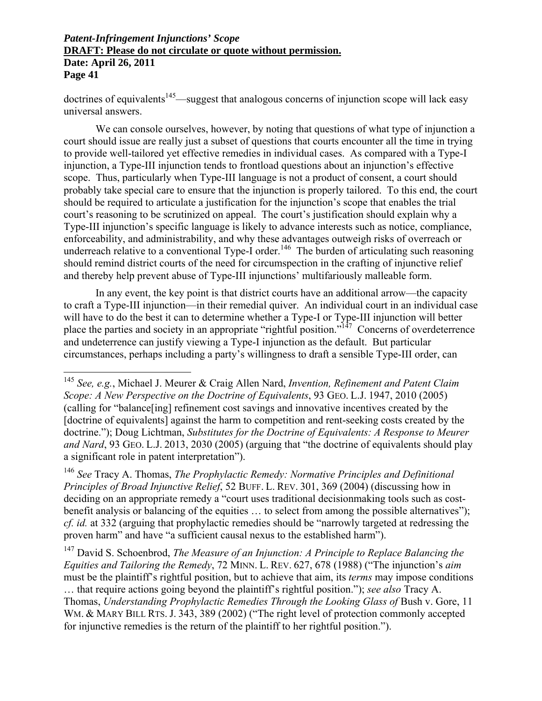$\overline{a}$ 

 $d$  doctrines of equivalents<sup>145</sup>—suggest that analogous concerns of injunction scope will lack easy universal answers.

We can console ourselves, however, by noting that questions of what type of injunction a court should issue are really just a subset of questions that courts encounter all the time in trying to provide well-tailored yet effective remedies in individual cases. As compared with a Type-I injunction, a Type-III injunction tends to frontload questions about an injunction's effective scope. Thus, particularly when Type-III language is not a product of consent, a court should probably take special care to ensure that the injunction is properly tailored. To this end, the court should be required to articulate a justification for the injunction's scope that enables the trial court's reasoning to be scrutinized on appeal. The court's justification should explain why a Type-III injunction's specific language is likely to advance interests such as notice, compliance, enforceability, and administrability, and why these advantages outweigh risks of overreach or underreach relative to a conventional Type-I order.<sup>146</sup> The burden of articulating such reasoning should remind district courts of the need for circumspection in the crafting of injunctive relief and thereby help prevent abuse of Type-III injunctions' multifariously malleable form.

In any event, the key point is that district courts have an additional arrow—the capacity to craft a Type-III injunction—in their remedial quiver. An individual court in an individual case will have to do the best it can to determine whether a Type-I or Type-III injunction will better place the parties and society in an appropriate "rightful position."147 Concerns of overdeterrence and undeterrence can justify viewing a Type-I injunction as the default. But particular circumstances, perhaps including a party's willingness to draft a sensible Type-III order, can

147 David S. Schoenbrod, *The Measure of an Injunction: A Principle to Replace Balancing the Equities and Tailoring the Remedy*, 72 MINN. L. REV. 627, 678 (1988) ("The injunction's *aim* must be the plaintiff's rightful position, but to achieve that aim, its *terms* may impose conditions … that require actions going beyond the plaintiff's rightful position."); *see also* Tracy A. Thomas, *Understanding Prophylactic Remedies Through the Looking Glass of* Bush v. Gore, 11 WM. & MARY BILL RTS. J. 343, 389 (2002) ("The right level of protection commonly accepted for injunctive remedies is the return of the plaintiff to her rightful position.").

<sup>145</sup> *See, e.g.*, Michael J. Meurer & Craig Allen Nard, *Invention, Refinement and Patent Claim Scope: A New Perspective on the Doctrine of Equivalents*, 93 GEO. L.J. 1947, 2010 (2005) (calling for "balance[ing] refinement cost savings and innovative incentives created by the [doctrine of equivalents] against the harm to competition and rent-seeking costs created by the doctrine."); Doug Lichtman, *Substitutes for the Doctrine of Equivalents: A Response to Meurer and Nard*, 93 GEO. L.J. 2013, 2030 (2005) (arguing that "the doctrine of equivalents should play a significant role in patent interpretation").

<sup>146</sup> *See* Tracy A. Thomas, *The Prophylactic Remedy: Normative Principles and Definitional Principles of Broad Injunctive Relief*, 52 BUFF. L. REV. 301, 369 (2004) (discussing how in deciding on an appropriate remedy a "court uses traditional decisionmaking tools such as costbenefit analysis or balancing of the equities … to select from among the possible alternatives"); *cf. id.* at 332 (arguing that prophylactic remedies should be "narrowly targeted at redressing the proven harm" and have "a sufficient causal nexus to the established harm").